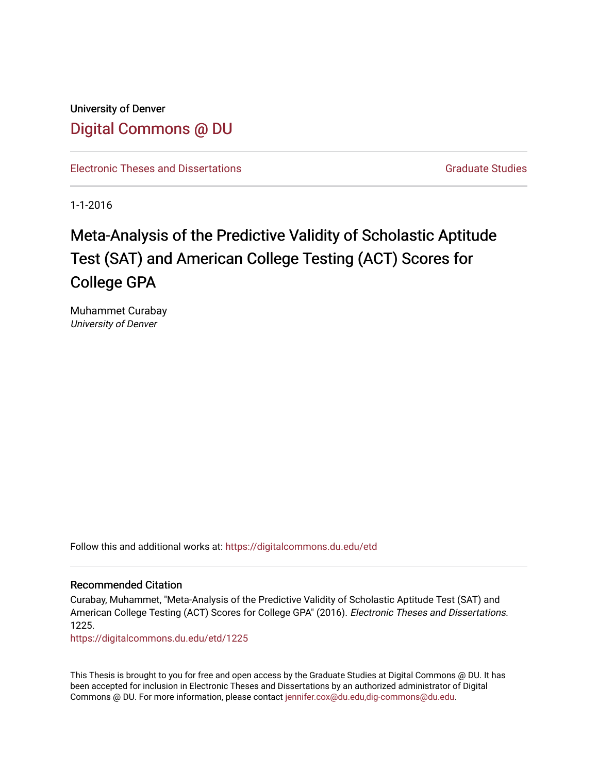University of Denver [Digital Commons @ DU](https://digitalcommons.du.edu/) 

[Electronic Theses and Dissertations](https://digitalcommons.du.edu/etd) [Graduate Studies](https://digitalcommons.du.edu/graduate) Graduate Studies

1-1-2016

# Meta-Analysis of the Predictive Validity of Scholastic Aptitude Test (SAT) and American College Testing (ACT) Scores for College GPA

Muhammet Curabay University of Denver

Follow this and additional works at: [https://digitalcommons.du.edu/etd](https://digitalcommons.du.edu/etd?utm_source=digitalcommons.du.edu%2Fetd%2F1225&utm_medium=PDF&utm_campaign=PDFCoverPages) 

#### Recommended Citation

Curabay, Muhammet, "Meta-Analysis of the Predictive Validity of Scholastic Aptitude Test (SAT) and American College Testing (ACT) Scores for College GPA" (2016). Electronic Theses and Dissertations. 1225.

[https://digitalcommons.du.edu/etd/1225](https://digitalcommons.du.edu/etd/1225?utm_source=digitalcommons.du.edu%2Fetd%2F1225&utm_medium=PDF&utm_campaign=PDFCoverPages)

This Thesis is brought to you for free and open access by the Graduate Studies at Digital Commons @ DU. It has been accepted for inclusion in Electronic Theses and Dissertations by an authorized administrator of Digital Commons @ DU. For more information, please contact [jennifer.cox@du.edu,dig-commons@du.edu.](mailto:jennifer.cox@du.edu,dig-commons@du.edu)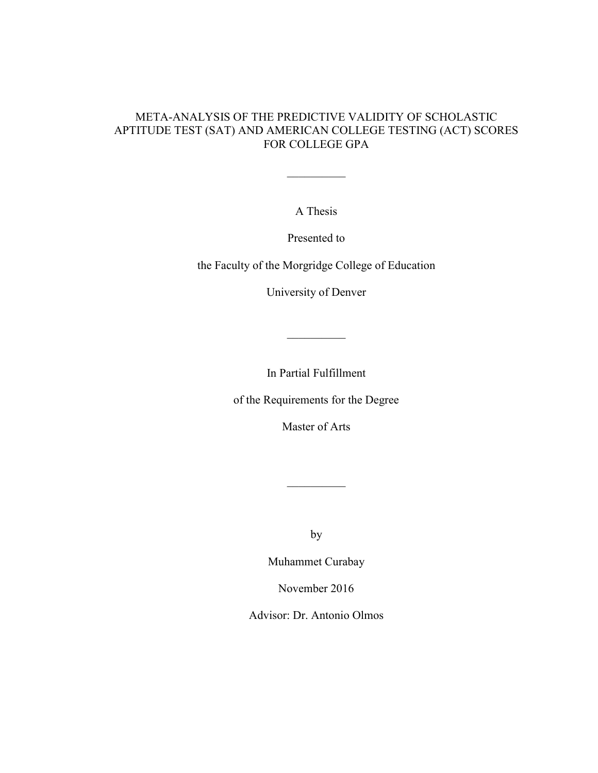### META-ANALYSIS OF THE PREDICTIVE VALIDITY OF SCHOLASTIC APTITUDE TEST (SAT) AND AMERICAN COLLEGE TESTING (ACT) SCORES FOR COLLEGE GPA

A Thesis

 $\frac{1}{2}$  ,  $\frac{1}{2}$  ,  $\frac{1}{2}$  ,  $\frac{1}{2}$  ,  $\frac{1}{2}$ 

Presented to

the Faculty of the Morgridge College of Education

University of Denver

In Partial Fulfillment

 $\frac{1}{2}$  ,  $\frac{1}{2}$  ,  $\frac{1}{2}$  ,  $\frac{1}{2}$  ,  $\frac{1}{2}$ 

of the Requirements for the Degree

Master of Arts

by

 $\frac{1}{2}$  ,  $\frac{1}{2}$  ,  $\frac{1}{2}$  ,  $\frac{1}{2}$  ,  $\frac{1}{2}$ 

Muhammet Curabay

November 2016

Advisor: Dr. Antonio Olmos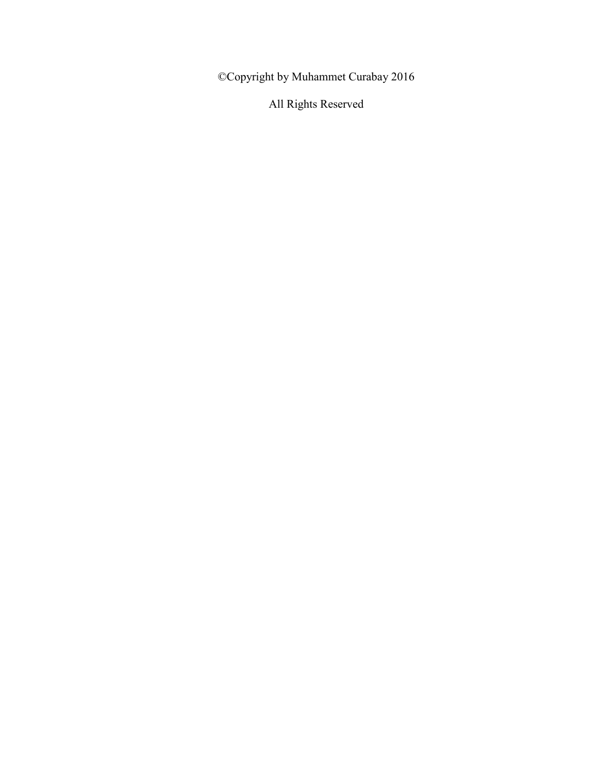©Copyright by Muhammet Curabay 2016

All Rights Reserved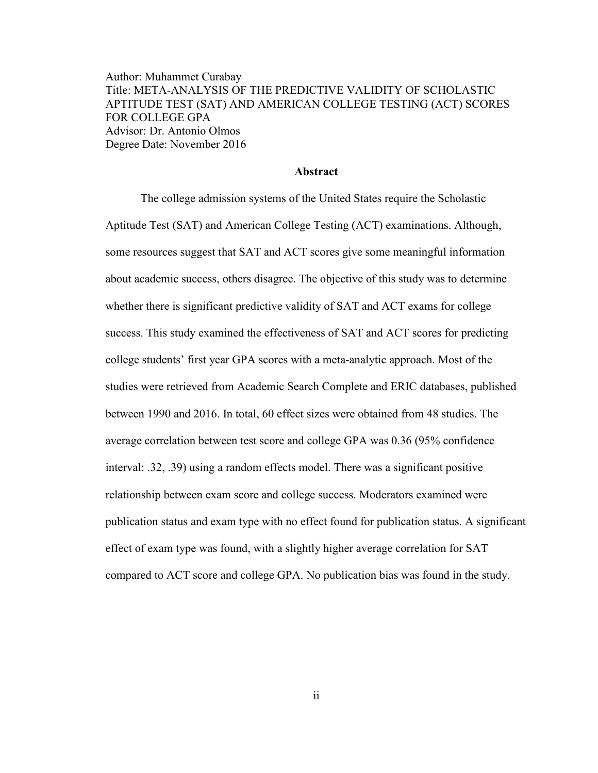Author: Muhammet Curabay Title: META-ANALYSIS OF THE PREDICTIVE VALIDITY OF SCHOLASTIC APTITUDE TEST (SAT) AND AMERICAN COLLEGE TESTING (ACT) SCORES FOR COLLEGE GPA Advisor: Dr. Antonio Olmos Degree Date: November 2016

### **Abstract**

The college admission systems of the United States require the Scholastic Aptitude Test (SAT) and American College Testing (ACT) examinations. Although, some resources suggest that SAT and ACT scores give some meaningful information about academic success, others disagree. The objective of this study was to determine whether there is significant predictive validity of SAT and ACT exams for college success. This study examined the effectiveness of SAT and ACT scores for predicting college students' first year GPA scores with a meta-analytic approach. Most of the studies were retrieved from Academic Search Complete and ERIC databases, published between 1990 and 2016. In total, 60 effect sizes were obtained from 48 studies. The average correlation between test score and college GPA was 0.36 (95% confidence interval: .32, .39) using a random effects model. There was a significant positive relationship between exam score and college success. Moderators examined were publication status and exam type with no effect found for publication status. A significant effect of exam type was found, with a slightly higher average correlation for SAT compared to ACT score and college GPA. No publication bias was found in the study.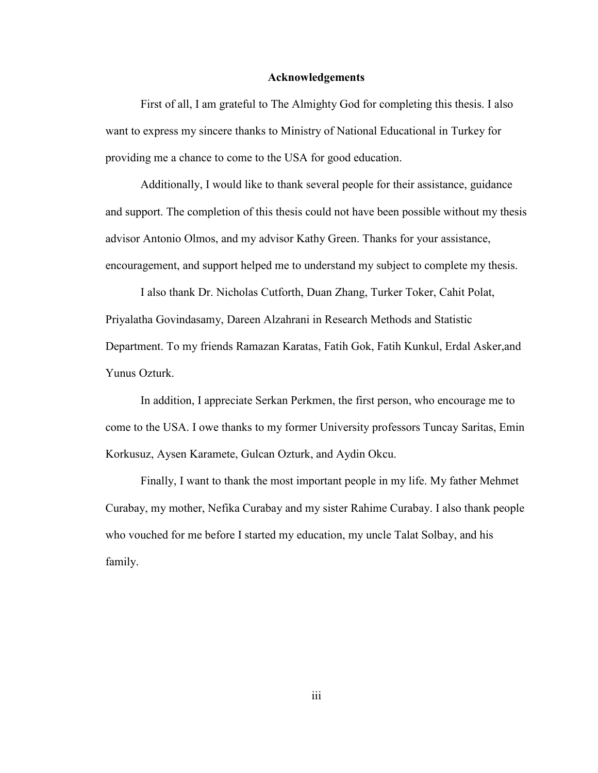#### **Acknowledgements**

First of all, I am grateful to The Almighty God for completing this thesis. I also want to express my sincere thanks to Ministry of National Educational in Turkey for providing me a chance to come to the USA for good education.

Additionally, I would like to thank several people for their assistance, guidance and support. The completion of this thesis could not have been possible without my thesis advisor Antonio Olmos, and my advisor Kathy Green. Thanks for your assistance, encouragement, and support helped me to understand my subject to complete my thesis.

I also thank Dr. Nicholas Cutforth, Duan Zhang, Turker Toker, Cahit Polat, Priyalatha Govindasamy, Dareen Alzahrani in Research Methods and Statistic Department. To my friends Ramazan Karatas, Fatih Gok, Fatih Kunkul, Erdal Asker,and Yunus Ozturk.

In addition, I appreciate Serkan Perkmen, the first person, who encourage me to come to the USA. I owe thanks to my former University professors Tuncay Saritas, Emin Korkusuz, Aysen Karamete, Gulcan Ozturk, and Aydin Okcu.

Finally, I want to thank the most important people in my life. My father Mehmet Curabay, my mother, Nefika Curabay and my sister Rahime Curabay. I also thank people who vouched for me before I started my education, my uncle Talat Solbay, and his family.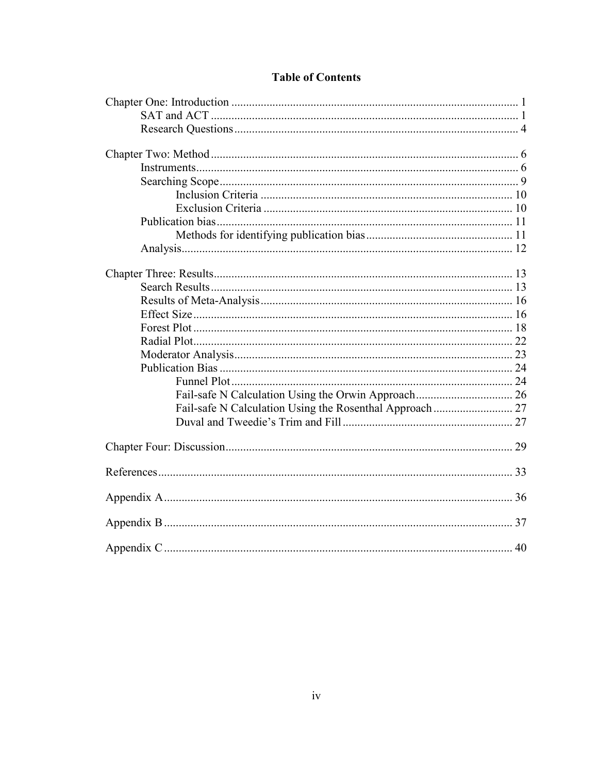# **Table of Contents**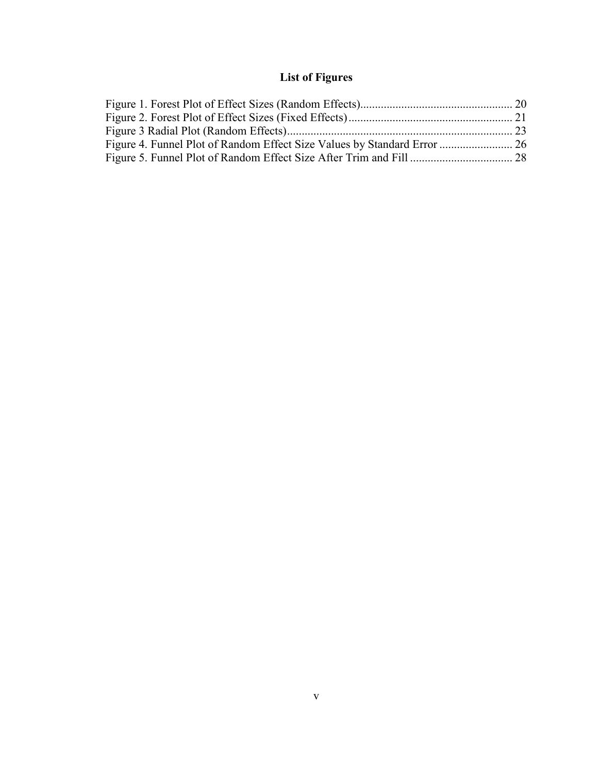# **List of Figures**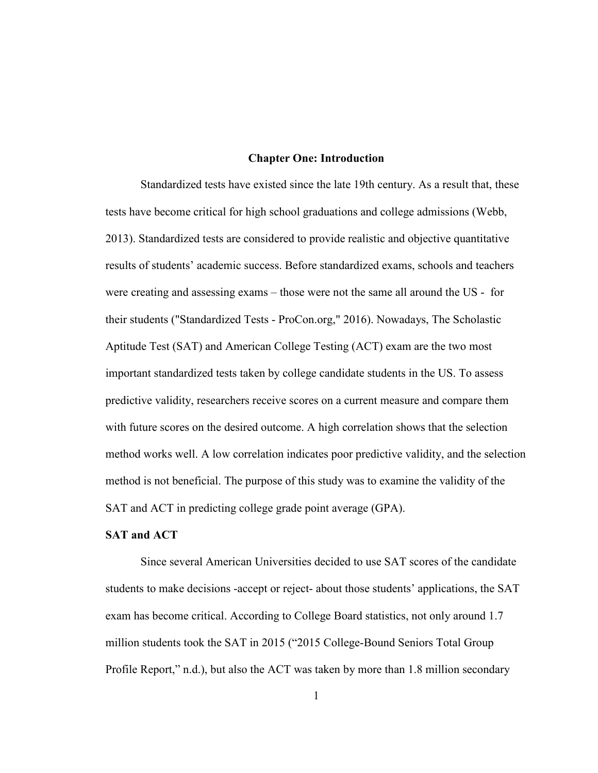#### **Chapter One: Introduction**

Standardized tests have existed since the late 19th century. As a result that, these tests have become critical for high school graduations and college admissions (Webb, 2013). Standardized tests are considered to provide realistic and objective quantitative results of students' academic success. Before standardized exams, schools and teachers were creating and assessing exams – those were not the same all around the US - for their students ("Standardized Tests - ProCon.org," 2016). Nowadays, The Scholastic Aptitude Test (SAT) and American College Testing (ACT) exam are the two most important standardized tests taken by college candidate students in the US. To assess predictive validity, researchers receive scores on a current measure and compare them with future scores on the desired outcome. A high correlation shows that the selection method works well. A low correlation indicates poor predictive validity, and the selection method is not beneficial. The purpose of this study was to examine the validity of the SAT and ACT in predicting college grade point average (GPA).

#### **SAT and ACT**

Since several American Universities decided to use SAT scores of the candidate students to make decisions -accept or reject- about those students' applications, the SAT exam has become critical. According to College Board statistics, not only around 1.7 million students took the SAT in 2015 ("2015 College-Bound Seniors Total Group Profile Report," n.d.), but also the ACT was taken by more than 1.8 million secondary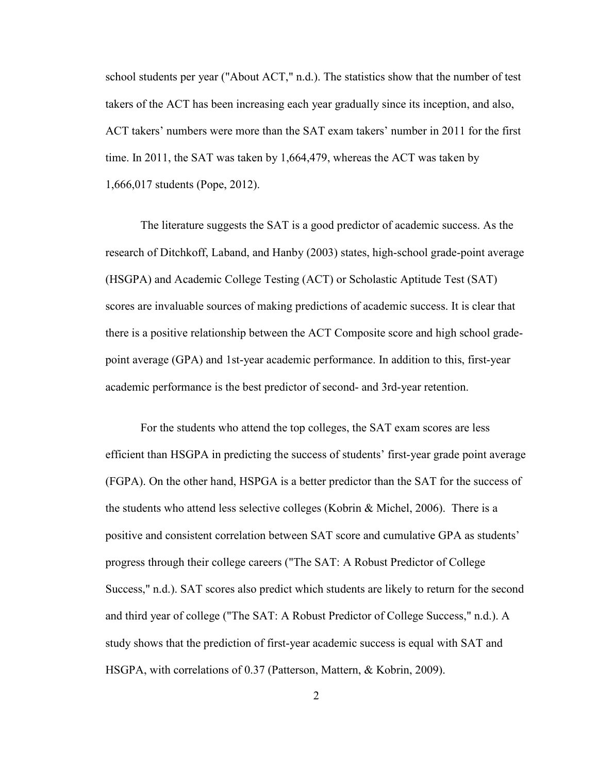school students per year ("About ACT," n.d.). The statistics show that the number of test takers of the ACT has been increasing each year gradually since its inception, and also, ACT takers' numbers were more than the SAT exam takers' number in 2011 for the first time. In 2011, the SAT was taken by 1,664,479, whereas the ACT was taken by 1,666,017 students (Pope, 2012).

The literature suggests the SAT is a good predictor of academic success. As the research of Ditchkoff, Laband, and Hanby (2003) states, high-school grade-point average (HSGPA) and Academic College Testing (ACT) or Scholastic Aptitude Test (SAT) scores are invaluable sources of making predictions of academic success. It is clear that there is a positive relationship between the ACT Composite score and high school gradepoint average (GPA) and 1st-year academic performance. In addition to this, first-year academic performance is the best predictor of second- and 3rd-year retention.

For the students who attend the top colleges, the SAT exam scores are less efficient than HSGPA in predicting the success of students' first-year grade point average (FGPA). On the other hand, HSPGA is a better predictor than the SAT for the success of the students who attend less selective colleges (Kobrin & Michel, 2006). There is a positive and consistent correlation between SAT score and cumulative GPA as students' progress through their college careers ("The SAT: A Robust Predictor of College Success," n.d.). SAT scores also predict which students are likely to return for the second and third year of college ("The SAT: A Robust Predictor of College Success," n.d.). A study shows that the prediction of first-year academic success is equal with SAT and HSGPA, with correlations of 0.37 (Patterson, Mattern, & Kobrin, 2009).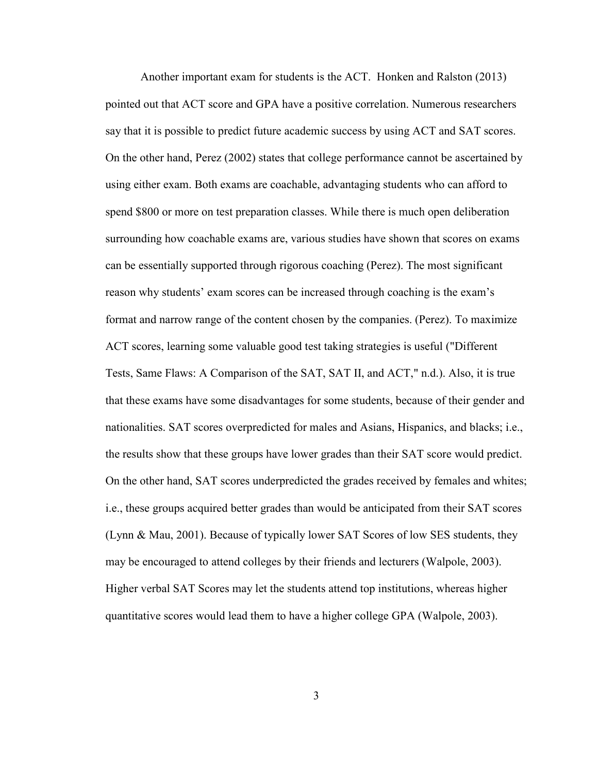Another important exam for students is the ACT. Honken and Ralston (2013) pointed out that ACT score and GPA have a positive correlation. Numerous researchers say that it is possible to predict future academic success by using ACT and SAT scores. On the other hand, Perez (2002) states that college performance cannot be ascertained by using either exam. Both exams are coachable, advantaging students who can afford to spend \$800 or more on test preparation classes. While there is much open deliberation surrounding how coachable exams are, various studies have shown that scores on exams can be essentially supported through rigorous coaching (Perez). The most significant reason why students' exam scores can be increased through coaching is the exam's format and narrow range of the content chosen by the companies. (Perez). To maximize ACT scores, learning some valuable good test taking strategies is useful ("Different Tests, Same Flaws: A Comparison of the SAT, SAT II, and ACT," n.d.). Also, it is true that these exams have some disadvantages for some students, because of their gender and nationalities. SAT scores overpredicted for males and Asians, Hispanics, and blacks; i.e., the results show that these groups have lower grades than their SAT score would predict. On the other hand, SAT scores underpredicted the grades received by females and whites; i.e., these groups acquired better grades than would be anticipated from their SAT scores (Lynn & Mau, 2001). Because of typically lower SAT Scores of low SES students, they may be encouraged to attend colleges by their friends and lecturers (Walpole, 2003). Higher verbal SAT Scores may let the students attend top institutions, whereas higher quantitative scores would lead them to have a higher college GPA (Walpole, 2003).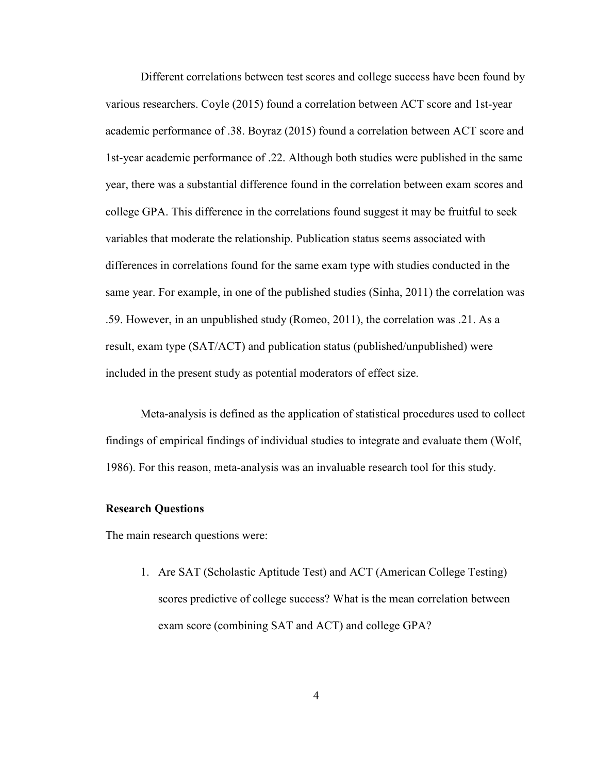Different correlations between test scores and college success have been found by various researchers. Coyle (2015) found a correlation between ACT score and 1st-year academic performance of .38. Boyraz (2015) found a correlation between ACT score and 1st-year academic performance of .22. Although both studies were published in the same year, there was a substantial difference found in the correlation between exam scores and college GPA. This difference in the correlations found suggest it may be fruitful to seek variables that moderate the relationship. Publication status seems associated with differences in correlations found for the same exam type with studies conducted in the same year. For example, in one of the published studies (Sinha, 2011) the correlation was .59. However, in an unpublished study (Romeo, 2011), the correlation was .21. As a result, exam type (SAT/ACT) and publication status (published/unpublished) were included in the present study as potential moderators of effect size.

Meta-analysis is defined as the application of statistical procedures used to collect findings of empirical findings of individual studies to integrate and evaluate them (Wolf, 1986). For this reason, meta-analysis was an invaluable research tool for this study.

#### **Research Questions**

The main research questions were:

1. Are SAT (Scholastic Aptitude Test) and ACT (American College Testing) scores predictive of college success? What is the mean correlation between exam score (combining SAT and ACT) and college GPA?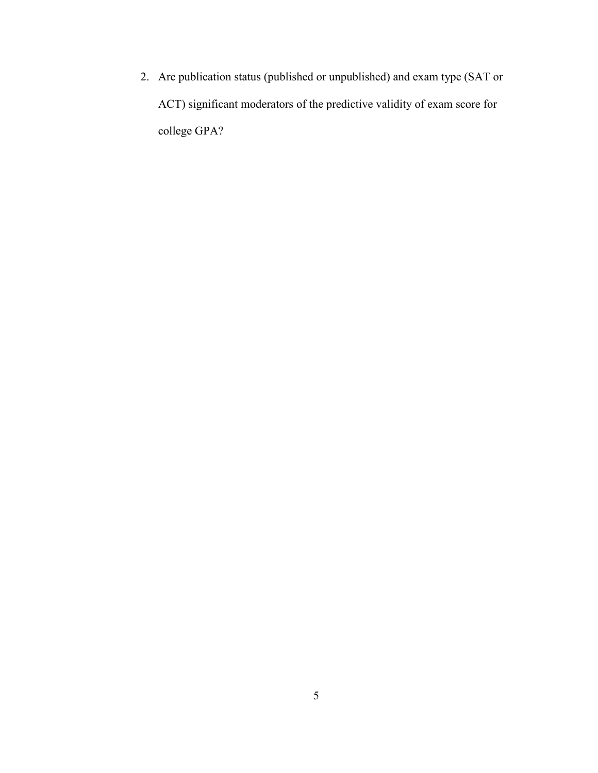2. Are publication status (published or unpublished) and exam type (SAT or ACT) significant moderators of the predictive validity of exam score for college GPA?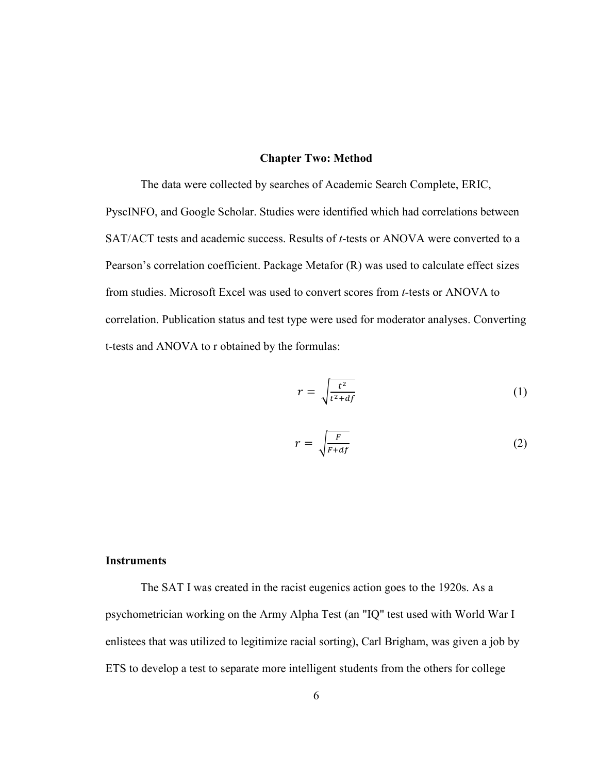#### **Chapter Two: Method**

The data were collected by searches of Academic Search Complete, ERIC, PyscINFO, and Google Scholar. Studies were identified which had correlations between SAT/ACT tests and academic success. Results of *t*-tests or ANOVA were converted to a Pearson's correlation coefficient. Package Metafor (R) was used to calculate effect sizes from studies. Microsoft Excel was used to convert scores from *t*-tests or ANOVA to correlation. Publication status and test type were used for moderator analyses. Converting t-tests and ANOVA to r obtained by the formulas:

$$
r = \sqrt{\frac{t^2}{t^2 + df}}
$$
 (1)

$$
r = \sqrt{\frac{F}{F + df}}
$$
 (2)

### **Instruments**

The SAT I was created in the racist eugenics action goes to the 1920s. As a psychometrician working on the Army Alpha Test (an "IQ" test used with World War I enlistees that was utilized to legitimize racial sorting), Carl Brigham, was given a job by ETS to develop a test to separate more intelligent students from the others for college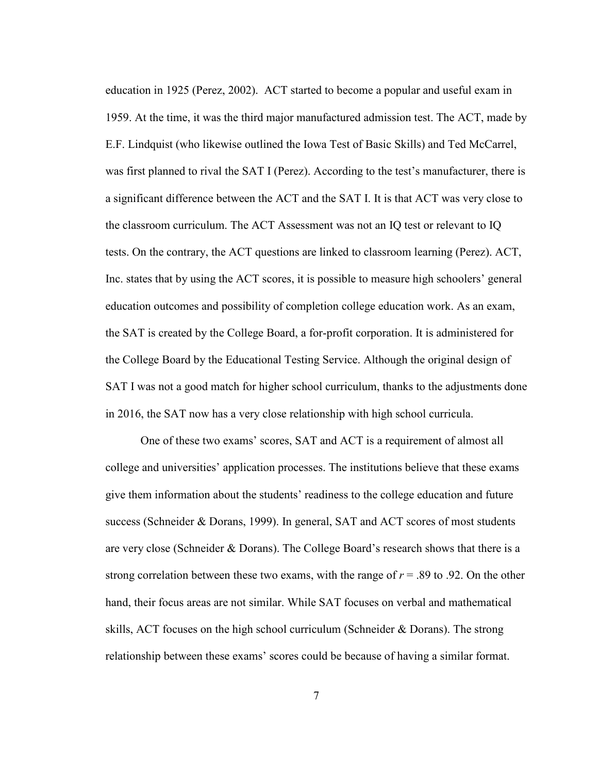education in 1925 (Perez, 2002). ACT started to become a popular and useful exam in 1959. At the time, it was the third major manufactured admission test. The ACT, made by E.F. Lindquist (who likewise outlined the Iowa Test of Basic Skills) and Ted McCarrel, was first planned to rival the SAT I (Perez). According to the test's manufacturer, there is a significant difference between the ACT and the SAT I. It is that ACT was very close to the classroom curriculum. The ACT Assessment was not an IQ test or relevant to IQ tests. On the contrary, the ACT questions are linked to classroom learning (Perez). ACT, Inc. states that by using the ACT scores, it is possible to measure high schoolers' general education outcomes and possibility of completion college education work. As an exam, the SAT is created by the College Board, a for-profit corporation. It is administered for the College Board by the Educational Testing Service. Although the original design of SAT I was not a good match for higher school curriculum, thanks to the adjustments done in 2016, the SAT now has a very close relationship with high school curricula.

One of these two exams' scores, SAT and ACT is a requirement of almost all college and universities' application processes. The institutions believe that these exams give them information about the students' readiness to the college education and future success (Schneider & Dorans, 1999). In general, SAT and ACT scores of most students are very close (Schneider & Dorans). The College Board's research shows that there is a strong correlation between these two exams, with the range of  $r = .89$  to .92. On the other hand, their focus areas are not similar. While SAT focuses on verbal and mathematical skills, ACT focuses on the high school curriculum (Schneider & Dorans). The strong relationship between these exams' scores could be because of having a similar format.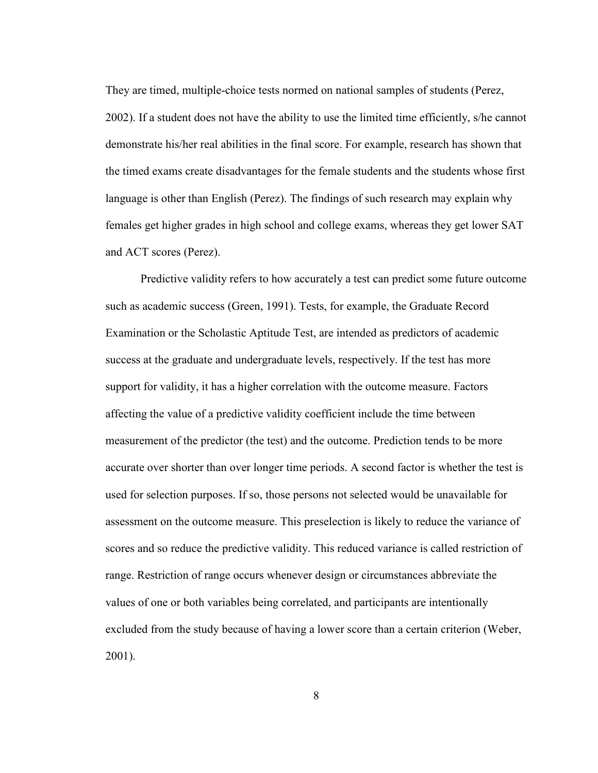They are timed, multiple-choice tests normed on national samples of students (Perez, 2002). If a student does not have the ability to use the limited time efficiently, s/he cannot demonstrate his/her real abilities in the final score. For example, research has shown that the timed exams create disadvantages for the female students and the students whose first language is other than English (Perez). The findings of such research may explain why females get higher grades in high school and college exams, whereas they get lower SAT and ACT scores (Perez).

Predictive validity refers to how accurately a test can predict some future outcome such as academic success (Green, 1991). Tests, for example, the Graduate Record Examination or the Scholastic Aptitude Test, are intended as predictors of academic success at the graduate and undergraduate levels, respectively. If the test has more support for validity, it has a higher correlation with the outcome measure. Factors affecting the value of a predictive validity coefficient include the time between measurement of the predictor (the test) and the outcome. Prediction tends to be more accurate over shorter than over longer time periods. A second factor is whether the test is used for selection purposes. If so, those persons not selected would be unavailable for assessment on the outcome measure. This preselection is likely to reduce the variance of scores and so reduce the predictive validity. This reduced variance is called restriction of range. Restriction of range occurs whenever design or circumstances abbreviate the values of one or both variables being correlated, and participants are intentionally excluded from the study because of having a lower score than a certain criterion (Weber, 2001).

8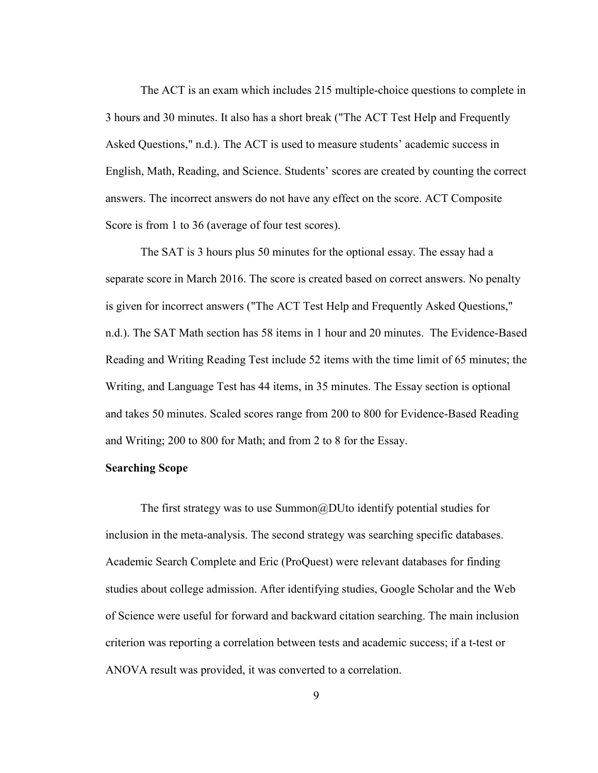The ACT is an exam which includes 215 multiple-choice questions to complete in 3 hours and 30 minutes. It also has a short break ("The ACT Test Help and Frequently Asked Questions," n.d.). The ACT is used to measure students' academic success in English, Math, Reading, and Science. Students' scores are created by counting the correct answers. The incorrect answers do not have any effect on the score. ACT Composite Score is from 1 to 36 (average of four test scores).

The SAT is 3 hours plus 50 minutes for the optional essay. The essay had a separate score in March 2016. The score is created based on correct answers. No penalty is given for incorrect answers ("The ACT Test Help and Frequently Asked Questions," n.d.). The SAT Math section has 58 items in 1 hour and 20 minutes. The Evidence-Based Reading and Writing Reading Test include 52 items with the time limit of 65 minutes; the Writing, and Language Test has 44 items, in 35 minutes. The Essay section is optional and takes 50 minutes. Scaled scores range from 200 to 800 for Evidence-Based Reading and Writing; 200 to 800 for Math; and from 2 to 8 for the Essay.

#### **Searching Scope**

The first strategy was to use Summon@DUto identify potential studies for inclusion in the meta-analysis. The second strategy was searching specific databases. Academic Search Complete and Eric (ProQuest) were relevant databases for finding studies about college admission. After identifying studies, Google Scholar and the Web of Science were useful for forward and backward citation searching. The main inclusion criterion was reporting a correlation between tests and academic success; if a t-test or ANOVA result was provided, it was converted to a correlation.

9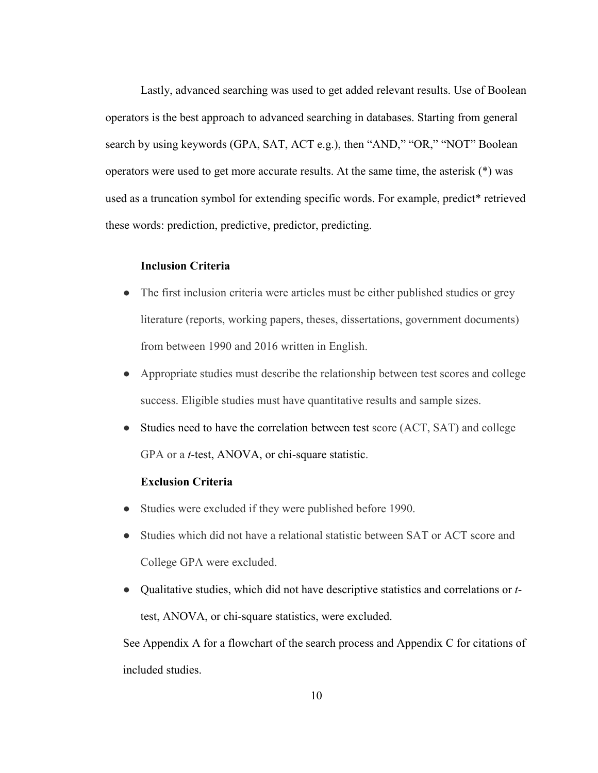Lastly, advanced searching was used to get added relevant results. Use of Boolean operators is the best approach to advanced searching in databases. Starting from general search by using keywords (GPA, SAT, ACT e.g.), then "AND," "OR," "NOT" Boolean operators were used to get more accurate results. At the same time, the asterisk (\*) was used as a truncation symbol for extending specific words. For example, predict\* retrieved these words: prediction, predictive, predictor, predicting.

#### **Inclusion Criteria**

- The first inclusion criteria were articles must be either published studies or grey literature (reports, working papers, theses, dissertations, government documents) from between 1990 and 2016 written in English.
- Appropriate studies must describe the relationship between test scores and college success. Eligible studies must have quantitative results and sample sizes.
- Studies need to have the correlation between test score (ACT, SAT) and college GPA or a *t*-test, ANOVA, or chi-square statistic.

#### **Exclusion Criteria**

- Studies were excluded if they were published before 1990.
- Studies which did not have a relational statistic between SAT or ACT score and College GPA were excluded.
- Qualitative studies, which did not have descriptive statistics and correlations or *t*test, ANOVA, or chi-square statistics, were excluded.

See Appendix A for a flowchart of the search process and Appendix C for citations of included studies.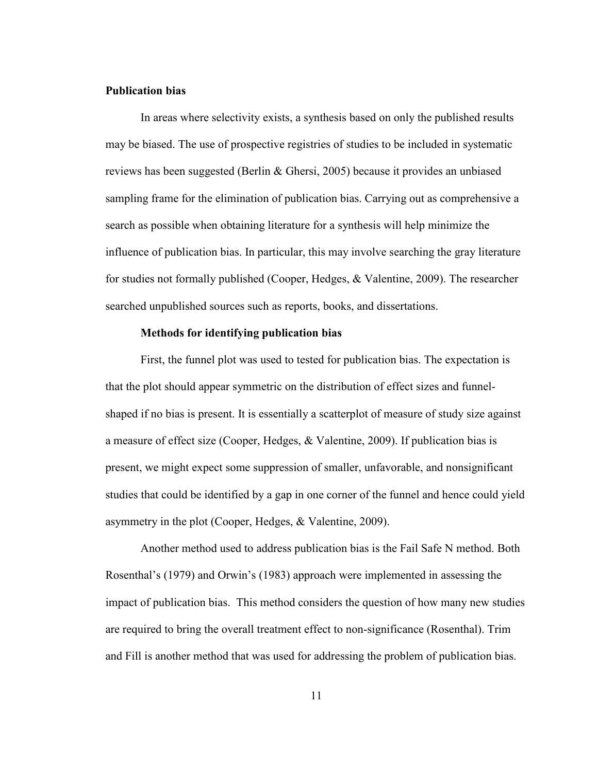#### **Publication bias**

In areas where selectivity exists, a synthesis based on only the published results may be biased. The use of prospective registries of studies to be included in systematic reviews has been suggested (Berlin & Ghersi, 2005) because it provides an unbiased sampling frame for the elimination of publication bias. Carrying out as comprehensive a search as possible when obtaining literature for a synthesis will help minimize the influence of publication bias. In particular, this may involve searching the gray literature for studies not formally published (Cooper, Hedges, & Valentine, 2009). The researcher searched unpublished sources such as reports, books, and dissertations.

#### **Methods for identifying publication bias**

First, the funnel plot was used to tested for publication bias. The expectation is that the plot should appear symmetric on the distribution of effect sizes and funnelshaped if no bias is present. It is essentially a scatterplot of measure of study size against a measure of effect size (Cooper, Hedges, & Valentine, 2009). If publication bias is present, we might expect some suppression of smaller, unfavorable, and nonsignificant studies that could be identified by a gap in one corner of the funnel and hence could yield asymmetry in the plot (Cooper, Hedges, & Valentine, 2009).

Another method used to address publication bias is the Fail Safe N method. Both Rosenthal's (1979) and Orwin's (1983) approach were implemented in assessing the impact of publication bias. This method considers the question of how many new studies are required to bring the overall treatment effect to non-significance (Rosenthal). Trim and Fill is another method that was used for addressing the problem of publication bias.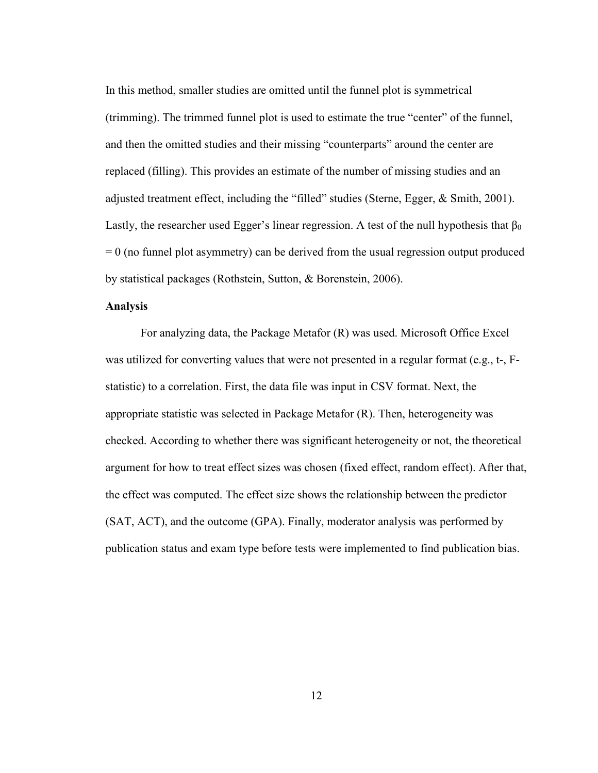In this method, smaller studies are omitted until the funnel plot is symmetrical (trimming). The trimmed funnel plot is used to estimate the true "center" of the funnel, and then the omitted studies and their missing "counterparts" around the center are replaced (filling). This provides an estimate of the number of missing studies and an adjusted treatment effect, including the "filled" studies (Sterne, Egger, & Smith, 2001). Lastly, the researcher used Egger's linear regression. A test of the null hypothesis that  $\beta_0$  $= 0$  (no funnel plot asymmetry) can be derived from the usual regression output produced by statistical packages (Rothstein, Sutton, & Borenstein, 2006).

#### **Analysis**

For analyzing data, the Package Metafor (R) was used. Microsoft Office Excel was utilized for converting values that were not presented in a regular format (e.g., t-, Fstatistic) to a correlation. First, the data file was input in CSV format. Next, the appropriate statistic was selected in Package Metafor (R). Then, heterogeneity was checked. According to whether there was significant heterogeneity or not, the theoretical argument for how to treat effect sizes was chosen (fixed effect, random effect). After that, the effect was computed. The effect size shows the relationship between the predictor (SAT, ACT), and the outcome (GPA). Finally, moderator analysis was performed by publication status and exam type before tests were implemented to find publication bias.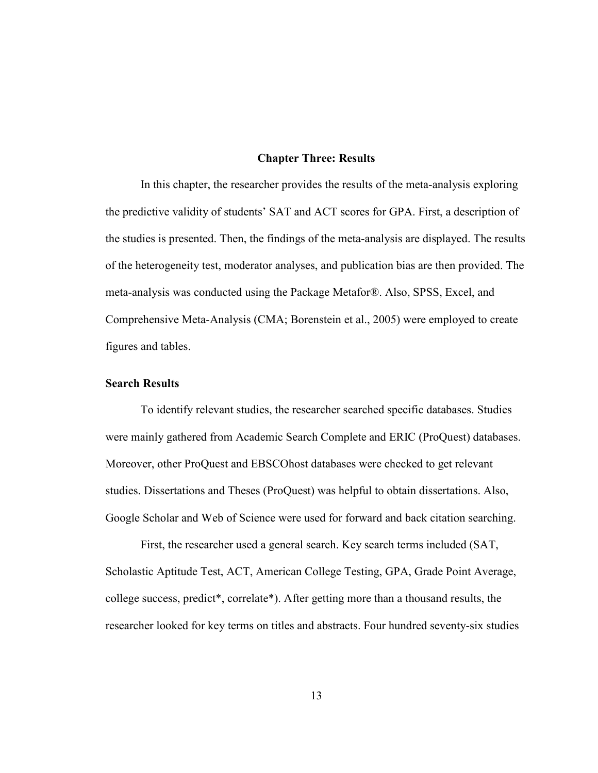#### **Chapter Three: Results**

In this chapter, the researcher provides the results of the meta-analysis exploring the predictive validity of students' SAT and ACT scores for GPA. First, a description of the studies is presented. Then, the findings of the meta-analysis are displayed. The results of the heterogeneity test, moderator analyses, and publication bias are then provided. The meta-analysis was conducted using the Package Metafor®. Also, SPSS, Excel, and Comprehensive Meta-Analysis (CMA; Borenstein et al., 2005) were employed to create figures and tables.

#### **Search Results**

To identify relevant studies, the researcher searched specific databases. Studies were mainly gathered from Academic Search Complete and ERIC (ProQuest) databases. Moreover, other ProQuest and EBSCOhost databases were checked to get relevant studies. Dissertations and Theses (ProQuest) was helpful to obtain dissertations. Also, Google Scholar and Web of Science were used for forward and back citation searching.

First, the researcher used a general search. Key search terms included (SAT, Scholastic Aptitude Test, ACT, American College Testing, GPA, Grade Point Average, college success, predict\*, correlate\*). After getting more than a thousand results, the researcher looked for key terms on titles and abstracts. Four hundred seventy-six studies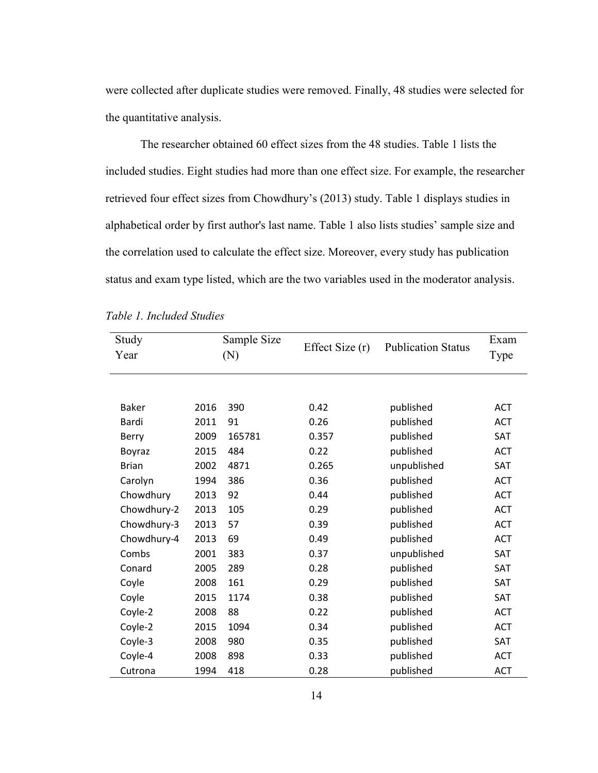were collected after duplicate studies were removed. Finally, 48 studies were selected for the quantitative analysis.

The researcher obtained 60 effect sizes from the 48 studies. Table 1 lists the included studies. Eight studies had more than one effect size. For example, the researcher retrieved four effect sizes from Chowdhury's (2013) study. Table 1 displays studies in alphabetical order by first author's last name. Table 1 also lists studies' sample size and the correlation used to calculate the effect size. Moreover, every study has publication status and exam type listed, which are the two variables used in the moderator analysis.

| Study<br>Year |      | Sample Size<br>(N) | Effect Size (r) | <b>Publication Status</b> | Exam       |
|---------------|------|--------------------|-----------------|---------------------------|------------|
|               |      |                    |                 |                           | Type       |
|               |      |                    |                 |                           |            |
| <b>Baker</b>  | 2016 | 390                | 0.42            | published                 | <b>ACT</b> |
| Bardi         | 2011 | 91                 | 0.26            | published                 | <b>ACT</b> |
| Berry         | 2009 | 165781             | 0.357           | published                 | SAT        |
| Boyraz        | 2015 | 484                | 0.22            | published                 | <b>ACT</b> |
| <b>Brian</b>  | 2002 | 4871               | 0.265           | unpublished               | SAT        |
| Carolyn       | 1994 | 386                | 0.36            | published                 | <b>ACT</b> |
| Chowdhury     | 2013 | 92                 | 0.44            | published                 | <b>ACT</b> |
| Chowdhury-2   | 2013 | 105                | 0.29            | published                 | <b>ACT</b> |
| Chowdhury-3   | 2013 | 57                 | 0.39            | published                 | <b>ACT</b> |
| Chowdhury-4   | 2013 | 69                 | 0.49            | published                 | <b>ACT</b> |
| Combs         | 2001 | 383                | 0.37            | unpublished               | <b>SAT</b> |
| Conard        | 2005 | 289                | 0.28            | published                 | <b>SAT</b> |
| Coyle         | 2008 | 161                | 0.29            | published                 | <b>SAT</b> |
| Coyle         | 2015 | 1174               | 0.38            | published                 | <b>SAT</b> |
| Coyle-2       | 2008 | 88                 | 0.22            | published                 | <b>ACT</b> |
| Coyle-2       | 2015 | 1094               | 0.34            | published                 | <b>ACT</b> |
| Coyle-3       | 2008 | 980                | 0.35            | published                 | SAT        |
| Coyle-4       | 2008 | 898                | 0.33            | published                 | <b>ACT</b> |
| Cutrona       | 1994 | 418                | 0.28            | published                 | <b>ACT</b> |

|  | Table 1. Included Studies |  |
|--|---------------------------|--|
|  |                           |  |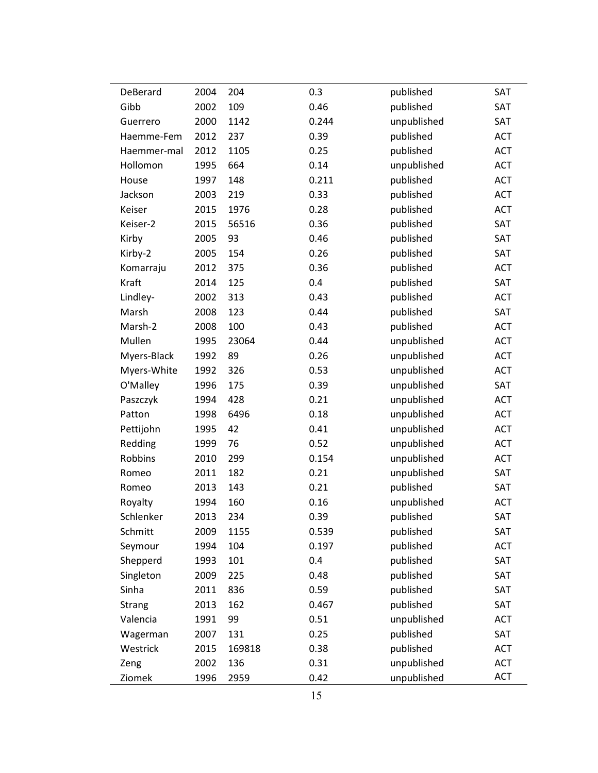| DeBerard    | 2004 | 204    | 0.3   | published   | SAT        |
|-------------|------|--------|-------|-------------|------------|
| Gibb        | 2002 | 109    | 0.46  | published   | SAT        |
| Guerrero    | 2000 | 1142   | 0.244 | unpublished | SAT        |
| Haemme-Fem  | 2012 | 237    | 0.39  | published   | <b>ACT</b> |
| Haemmer-mal | 2012 | 1105   | 0.25  | published   | <b>ACT</b> |
| Hollomon    | 1995 | 664    | 0.14  | unpublished | ACT        |
| House       | 1997 | 148    | 0.211 | published   | <b>ACT</b> |
| Jackson     | 2003 | 219    | 0.33  | published   | <b>ACT</b> |
| Keiser      | 2015 | 1976   | 0.28  | published   | <b>ACT</b> |
| Keiser-2    | 2015 | 56516  | 0.36  | published   | SAT        |
| Kirby       | 2005 | 93     | 0.46  | published   | SAT        |
| Kirby-2     | 2005 | 154    | 0.26  | published   | SAT        |
| Komarraju   | 2012 | 375    | 0.36  | published   | <b>ACT</b> |
| Kraft       | 2014 | 125    | 0.4   | published   | SAT        |
| Lindley-    | 2002 | 313    | 0.43  | published   | <b>ACT</b> |
| Marsh       | 2008 | 123    | 0.44  | published   | SAT        |
| Marsh-2     | 2008 | 100    | 0.43  | published   | <b>ACT</b> |
| Mullen      | 1995 | 23064  | 0.44  | unpublished | ACT        |
| Myers-Black | 1992 | 89     | 0.26  | unpublished | <b>ACT</b> |
| Myers-White | 1992 | 326    | 0.53  | unpublished | <b>ACT</b> |
| O'Malley    | 1996 | 175    | 0.39  | unpublished | SAT        |
| Paszczyk    | 1994 | 428    | 0.21  | unpublished | ACT        |
| Patton      | 1998 | 6496   | 0.18  | unpublished | <b>ACT</b> |
| Pettijohn   | 1995 | 42     | 0.41  | unpublished | <b>ACT</b> |
| Redding     | 1999 | 76     | 0.52  | unpublished | <b>ACT</b> |
| Robbins     | 2010 | 299    | 0.154 | unpublished | ACT        |
| Romeo       | 2011 | 182    | 0.21  | unpublished | SAT        |
| Romeo       | 2013 | 143    | 0.21  | published   | SAT        |
| Royalty     | 1994 | 160    | 0.16  | unpublished | <b>ACT</b> |
| Schlenker   | 2013 | 234    | 0.39  | published   | SAT        |
| Schmitt     | 2009 | 1155   | 0.539 | published   | SAT        |
| Seymour     | 1994 | 104    | 0.197 | published   | ACT        |
| Shepperd    | 1993 | 101    | 0.4   | published   | SAT        |
| Singleton   | 2009 | 225    | 0.48  | published   | SAT        |
| Sinha       | 2011 | 836    | 0.59  | published   | SAT        |
| Strang      | 2013 | 162    | 0.467 | published   | SAT        |
| Valencia    | 1991 | 99     | 0.51  | unpublished | <b>ACT</b> |
| Wagerman    | 2007 | 131    | 0.25  | published   | SAT        |
| Westrick    | 2015 | 169818 | 0.38  | published   | <b>ACT</b> |
| Zeng        | 2002 | 136    | 0.31  | unpublished | ACT        |
| Ziomek      | 1996 | 2959   | 0.42  | unpublished | <b>ACT</b> |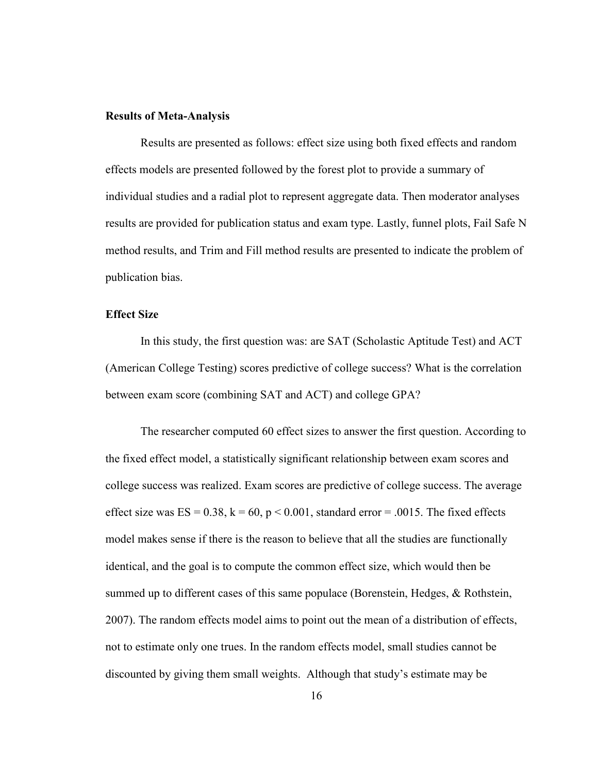#### **Results of Meta-Analysis**

Results are presented as follows: effect size using both fixed effects and random effects models are presented followed by the forest plot to provide a summary of individual studies and a radial plot to represent aggregate data. Then moderator analyses results are provided for publication status and exam type. Lastly, funnel plots, Fail Safe N method results, and Trim and Fill method results are presented to indicate the problem of publication bias.

#### **Effect Size**

In this study, the first question was: are SAT (Scholastic Aptitude Test) and ACT (American College Testing) scores predictive of college success? What is the correlation between exam score (combining SAT and ACT) and college GPA?

The researcher computed 60 effect sizes to answer the first question. According to the fixed effect model, a statistically significant relationship between exam scores and college success was realized. Exam scores are predictive of college success. The average effect size was  $ES = 0.38$ ,  $k = 60$ ,  $p < 0.001$ , standard error = .0015. The fixed effects model makes sense if there is the reason to believe that all the studies are functionally identical, and the goal is to compute the common effect size, which would then be summed up to different cases of this same populace (Borenstein, Hedges, & Rothstein, 2007). The random effects model aims to point out the mean of a distribution of effects, not to estimate only one trues. In the random effects model, small studies cannot be discounted by giving them small weights. Although that study's estimate may be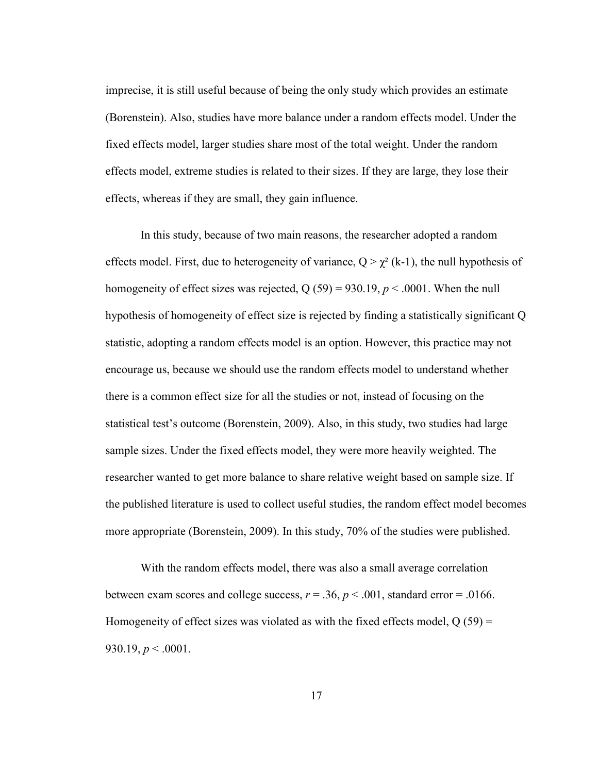imprecise, it is still useful because of being the only study which provides an estimate (Borenstein). Also, studies have more balance under a random effects model. Under the fixed effects model, larger studies share most of the total weight. Under the random effects model, extreme studies is related to their sizes. If they are large, they lose their effects, whereas if they are small, they gain influence.

In this study, because of two main reasons, the researcher adopted a random effects model. First, due to heterogeneity of variance,  $Q > \chi^2$  (k-1), the null hypothesis of homogeneity of effect sizes was rejected,  $Q(59) = 930.19$ ,  $p < .0001$ . When the null hypothesis of homogeneity of effect size is rejected by finding a statistically significant Q statistic, adopting a random effects model is an option. However, this practice may not encourage us, because we should use the random effects model to understand whether there is a common effect size for all the studies or not, instead of focusing on the statistical test's outcome (Borenstein, 2009). Also, in this study, two studies had large sample sizes. Under the fixed effects model, they were more heavily weighted. The researcher wanted to get more balance to share relative weight based on sample size. If the published literature is used to collect useful studies, the random effect model becomes more appropriate (Borenstein, 2009). In this study, 70% of the studies were published.

With the random effects model, there was also a small average correlation between exam scores and college success,  $r = .36$ ,  $p < .001$ , standard error = .0166. Homogeneity of effect sizes was violated as with the fixed effects model,  $Q(59)$  = 930.19,  $p < .0001$ .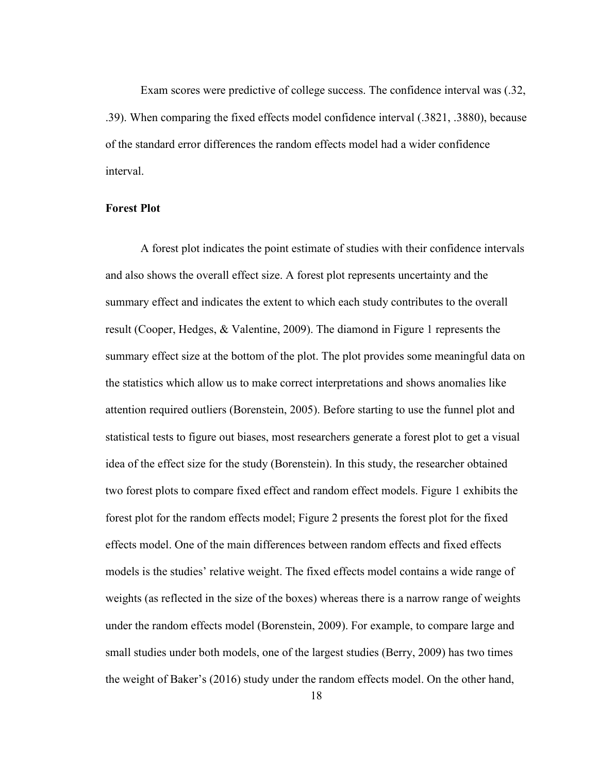Exam scores were predictive of college success. The confidence interval was (.32, .39). When comparing the fixed effects model confidence interval (.3821, .3880), because of the standard error differences the random effects model had a wider confidence interval.

#### **Forest Plot**

A forest plot indicates the point estimate of studies with their confidence intervals and also shows the overall effect size. A forest plot represents uncertainty and the summary effect and indicates the extent to which each study contributes to the overall result (Cooper, Hedges, & Valentine, 2009). The diamond in Figure 1 represents the summary effect size at the bottom of the plot. The plot provides some meaningful data on the statistics which allow us to make correct interpretations and shows anomalies like attention required outliers (Borenstein, 2005). Before starting to use the funnel plot and statistical tests to figure out biases, most researchers generate a forest plot to get a visual idea of the effect size for the study (Borenstein). In this study, the researcher obtained two forest plots to compare fixed effect and random effect models. Figure 1 exhibits the forest plot for the random effects model; Figure 2 presents the forest plot for the fixed effects model. One of the main differences between random effects and fixed effects models is the studies' relative weight. The fixed effects model contains a wide range of weights (as reflected in the size of the boxes) whereas there is a narrow range of weights under the random effects model (Borenstein, 2009). For example, to compare large and small studies under both models, one of the largest studies (Berry, 2009) has two times the weight of Baker's (2016) study under the random effects model. On the other hand,

18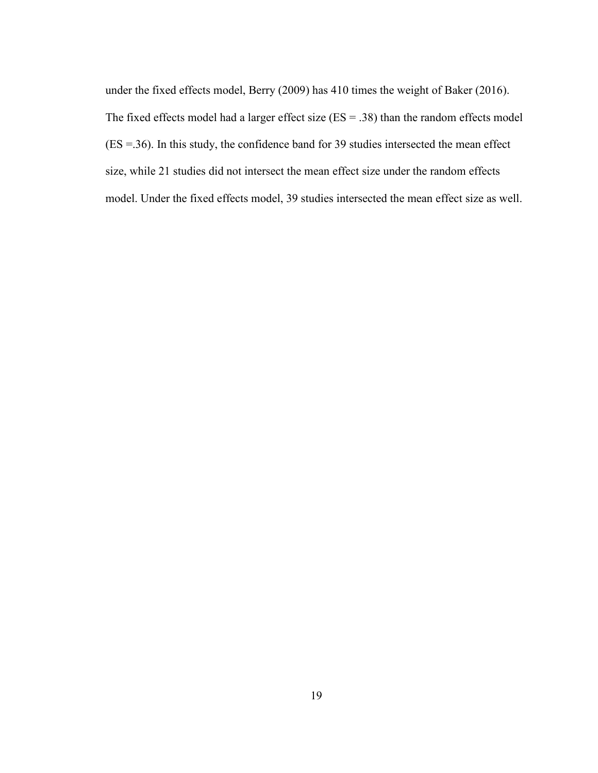under the fixed effects model, Berry (2009) has 410 times the weight of Baker (2016). The fixed effects model had a larger effect size  $(ES = .38)$  than the random effects model (ES =.36). In this study, the confidence band for 39 studies intersected the mean effect size, while 21 studies did not intersect the mean effect size under the random effects model. Under the fixed effects model, 39 studies intersected the mean effect size as well.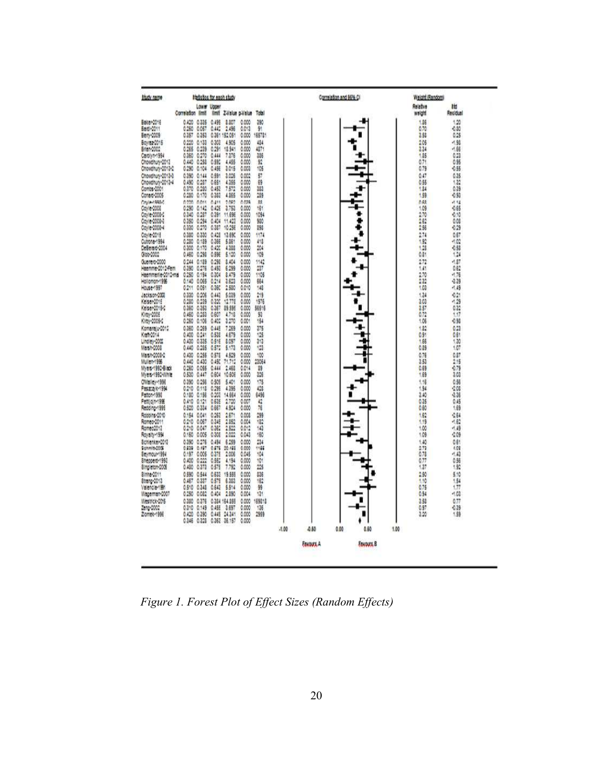

*Figure 1. Forest Plot of Effect Sizes (Random Effects)*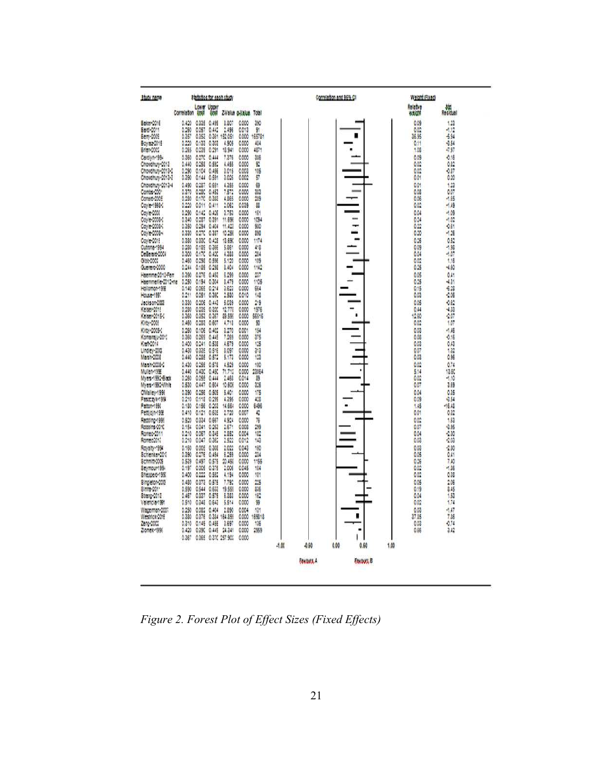

*Figure 2. Forest Plot of Effect Sizes (Fixed Effects)*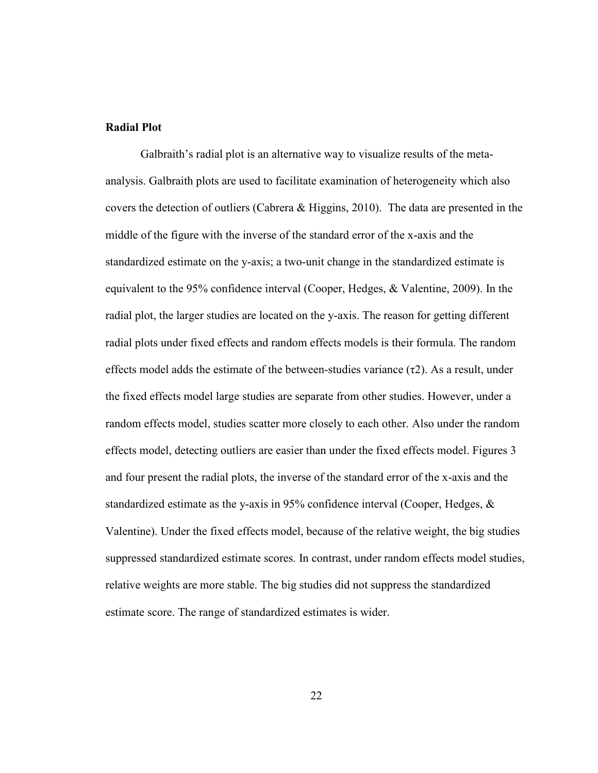#### **Radial Plot**

Galbraith's radial plot is an alternative way to visualize results of the metaanalysis. Galbraith plots are used to facilitate examination of heterogeneity which also covers the detection of outliers (Cabrera & Higgins, 2010). The data are presented in the middle of the figure with the inverse of the standard error of the x-axis and the standardized estimate on the y-axis; a two-unit change in the standardized estimate is equivalent to the 95% confidence interval (Cooper, Hedges, & Valentine, 2009). In the radial plot, the larger studies are located on the y-axis. The reason for getting different radial plots under fixed effects and random effects models is their formula. The random effects model adds the estimate of the between-studies variance  $(\tau 2)$ . As a result, under the fixed effects model large studies are separate from other studies. However, under a random effects model, studies scatter more closely to each other. Also under the random effects model, detecting outliers are easier than under the fixed effects model. Figures 3 and four present the radial plots, the inverse of the standard error of the x-axis and the standardized estimate as the y-axis in 95% confidence interval (Cooper, Hedges, & Valentine). Under the fixed effects model, because of the relative weight, the big studies suppressed standardized estimate scores. In contrast, under random effects model studies, relative weights are more stable. The big studies did not suppress the standardized estimate score. The range of standardized estimates is wider.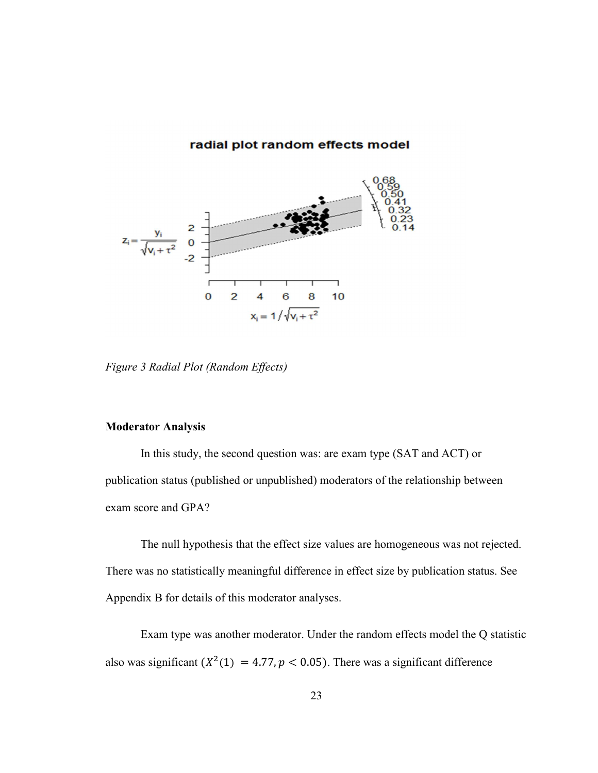#### radial plot random effects model



*Figure 3 Radial Plot (Random Effects)* 

### **Moderator Analysis**

In this study, the second question was: are exam type (SAT and ACT) or publication status (published or unpublished) moderators of the relationship between exam score and GPA?

The null hypothesis that the effect size values are homogeneous was not rejected. There was no statistically meaningful difference in effect size by publication status. See Appendix B for details of this moderator analyses.

Exam type was another moderator. Under the random effects model the Q statistic also was significant  $(X^2(1) = 4.77, p < 0.05)$ . There was a significant difference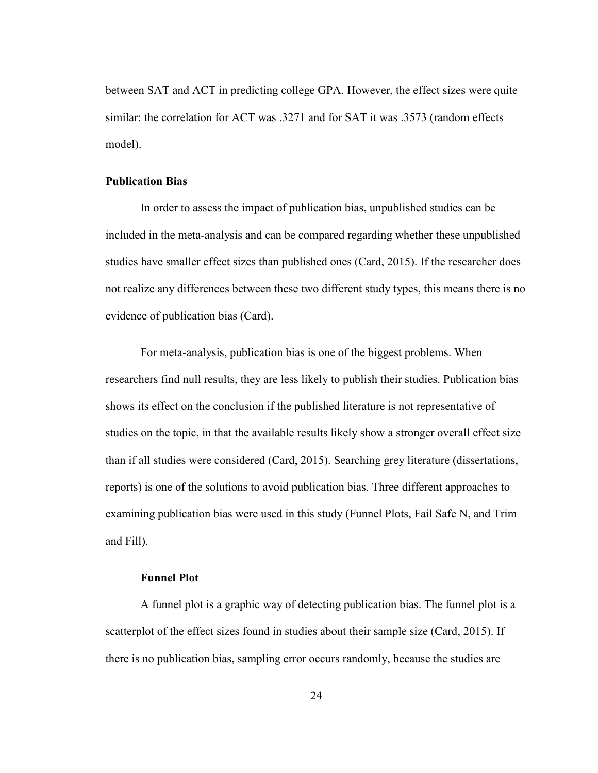between SAT and ACT in predicting college GPA. However, the effect sizes were quite similar: the correlation for ACT was .3271 and for SAT it was .3573 (random effects model).

#### **Publication Bias**

In order to assess the impact of publication bias, unpublished studies can be included in the meta-analysis and can be compared regarding whether these unpublished studies have smaller effect sizes than published ones (Card, 2015). If the researcher does not realize any differences between these two different study types, this means there is no evidence of publication bias (Card).

For meta-analysis, publication bias is one of the biggest problems. When researchers find null results, they are less likely to publish their studies. Publication bias shows its effect on the conclusion if the published literature is not representative of studies on the topic, in that the available results likely show a stronger overall effect size than if all studies were considered (Card, 2015). Searching grey literature (dissertations, reports) is one of the solutions to avoid publication bias. Three different approaches to examining publication bias were used in this study (Funnel Plots, Fail Safe N, and Trim and Fill).

#### **Funnel Plot**

A funnel plot is a graphic way of detecting publication bias. The funnel plot is a scatterplot of the effect sizes found in studies about their sample size (Card, 2015). If there is no publication bias, sampling error occurs randomly, because the studies are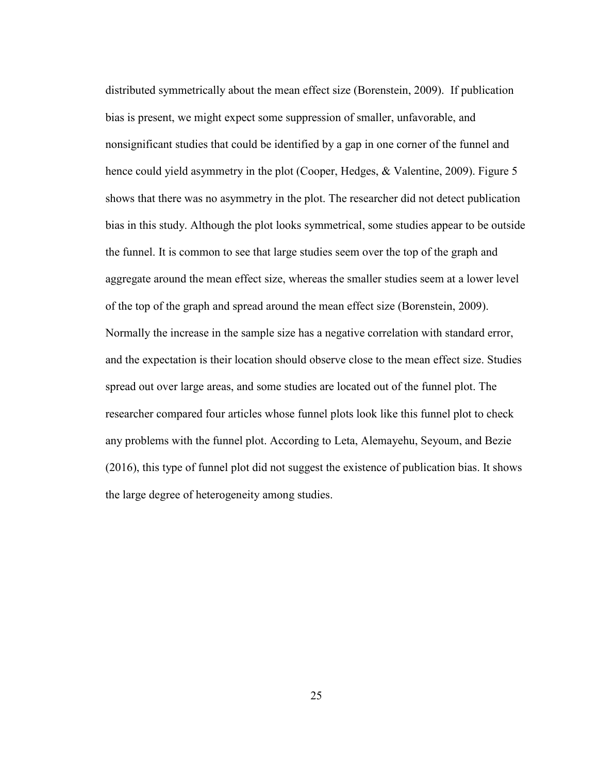distributed symmetrically about the mean effect size (Borenstein, 2009). If publication bias is present, we might expect some suppression of smaller, unfavorable, and nonsignificant studies that could be identified by a gap in one corner of the funnel and hence could yield asymmetry in the plot (Cooper, Hedges, & Valentine, 2009). Figure 5 shows that there was no asymmetry in the plot. The researcher did not detect publication bias in this study. Although the plot looks symmetrical, some studies appear to be outside the funnel. It is common to see that large studies seem over the top of the graph and aggregate around the mean effect size, whereas the smaller studies seem at a lower level of the top of the graph and spread around the mean effect size (Borenstein, 2009). Normally the increase in the sample size has a negative correlation with standard error, and the expectation is their location should observe close to the mean effect size. Studies spread out over large areas, and some studies are located out of the funnel plot. The researcher compared four articles whose funnel plots look like this funnel plot to check any problems with the funnel plot. According to Leta, Alemayehu, Seyoum, and Bezie (2016), this type of funnel plot did not suggest the existence of publication bias. It shows the large degree of heterogeneity among studies.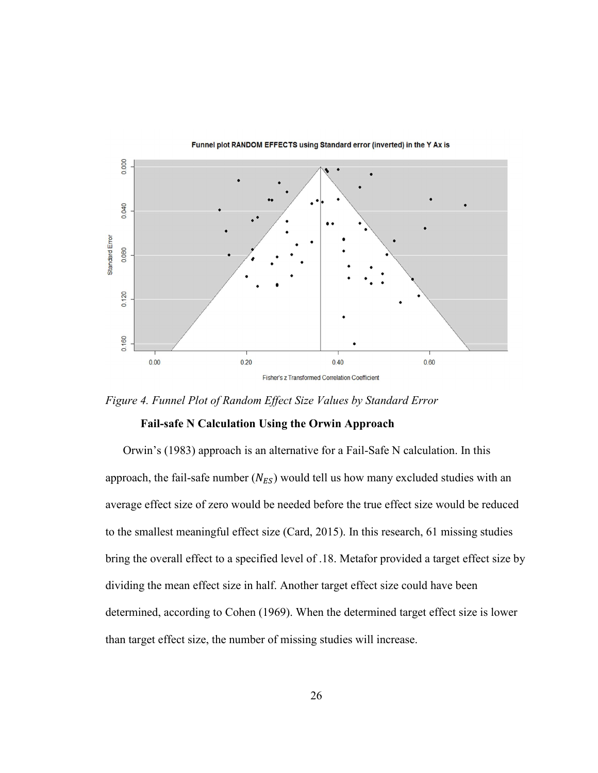



*Figure 4. Funnel Plot of Random Effect Size Values by Standard Error* 

#### **Fail-safe N Calculation Using the Orwin Approach**

Orwin's (1983) approach is an alternative for a Fail-Safe N calculation. In this approach, the fail-safe number  $(N_{ES})$  would tell us how many excluded studies with an average effect size of zero would be needed before the true effect size would be reduced to the smallest meaningful effect size (Card, 2015). In this research, 61 missing studies bring the overall effect to a specified level of .18. Metafor provided a target effect size by dividing the mean effect size in half. Another target effect size could have been determined, according to Cohen (1969). When the determined target effect size is lower than target effect size, the number of missing studies will increase.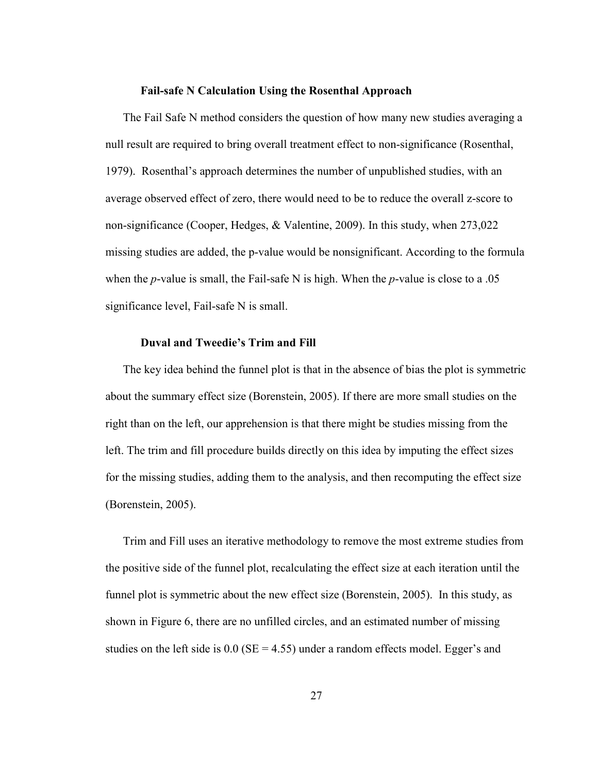#### **Fail-safe N Calculation Using the Rosenthal Approach**

The Fail Safe N method considers the question of how many new studies averaging a null result are required to bring overall treatment effect to non-significance (Rosenthal, 1979). Rosenthal's approach determines the number of unpublished studies, with an average observed effect of zero, there would need to be to reduce the overall z-score to non-significance (Cooper, Hedges, & Valentine, 2009). In this study, when 273,022 missing studies are added, the p-value would be nonsignificant. According to the formula when the *p*-value is small, the Fail-safe N is high. When the *p*-value is close to a .05 significance level, Fail-safe N is small.

#### **Duval and Tweedie's Trim and Fill**

The key idea behind the funnel plot is that in the absence of bias the plot is symmetric about the summary effect size (Borenstein, 2005). If there are more small studies on the right than on the left, our apprehension is that there might be studies missing from the left. The trim and fill procedure builds directly on this idea by imputing the effect sizes for the missing studies, adding them to the analysis, and then recomputing the effect size (Borenstein, 2005).

Trim and Fill uses an iterative methodology to remove the most extreme studies from the positive side of the funnel plot, recalculating the effect size at each iteration until the funnel plot is symmetric about the new effect size (Borenstein, 2005). In this study, as shown in Figure 6, there are no unfilled circles, and an estimated number of missing studies on the left side is  $0.0$  (SE = 4.55) under a random effects model. Egger's and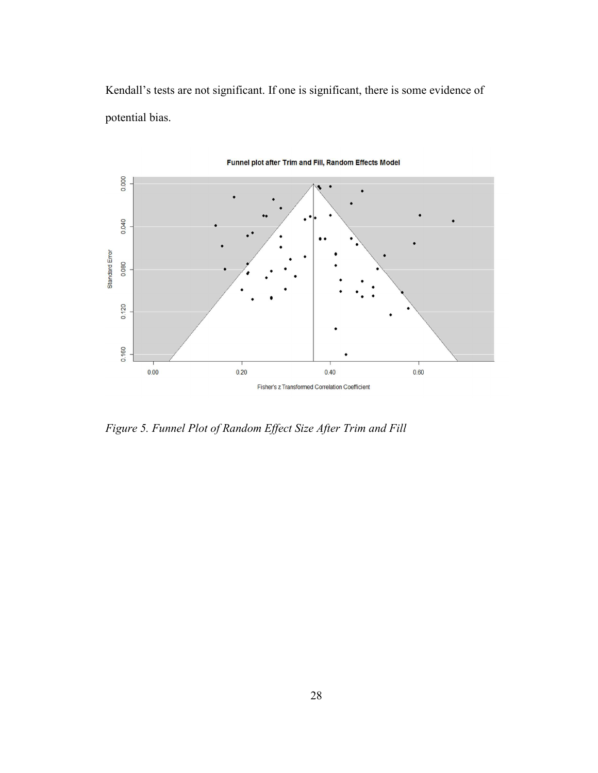Kendall's tests are not significant. If one is significant, there is some evidence of potential bias.



Funnel plot after Trim and Fill, Random Effects Model

*Figure 5. Funnel Plot of Random Effect Size After Trim and Fill*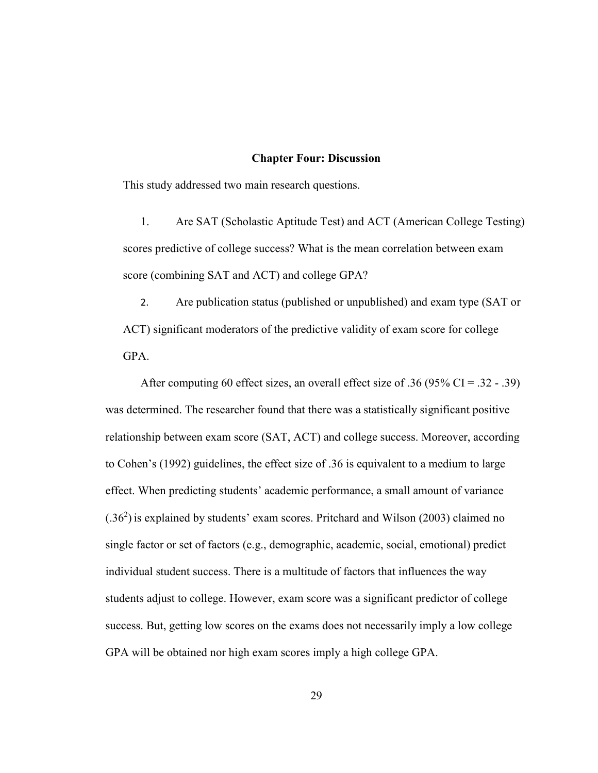#### **Chapter Four: Discussion**

This study addressed two main research questions.

1. Are SAT (Scholastic Aptitude Test) and ACT (American College Testing) scores predictive of college success? What is the mean correlation between exam score (combining SAT and ACT) and college GPA?

2. Are publication status (published or unpublished) and exam type (SAT or ACT) significant moderators of the predictive validity of exam score for college GPA.

After computing 60 effect sizes, an overall effect size of .36 (95% CI = .32 - .39) was determined. The researcher found that there was a statistically significant positive relationship between exam score (SAT, ACT) and college success. Moreover, according to Cohen's (1992) guidelines, the effect size of .36 is equivalent to a medium to large effect. When predicting students' academic performance, a small amount of variance  $(0.36<sup>2</sup>)$  is explained by students' exam scores. Pritchard and Wilson (2003) claimed no single factor or set of factors (e.g., demographic, academic, social, emotional) predict individual student success. There is a multitude of factors that influences the way students adjust to college. However, exam score was a significant predictor of college success. But, getting low scores on the exams does not necessarily imply a low college GPA will be obtained nor high exam scores imply a high college GPA.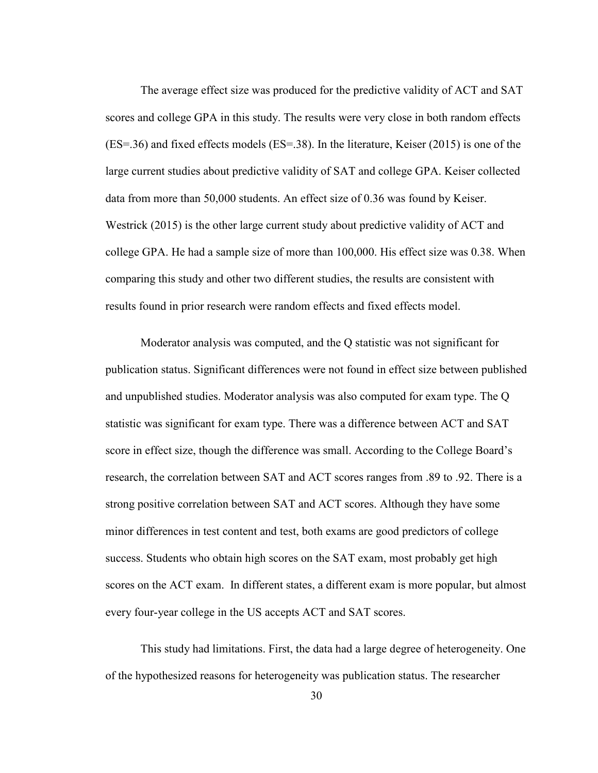The average effect size was produced for the predictive validity of ACT and SAT scores and college GPA in this study. The results were very close in both random effects (ES=.36) and fixed effects models (ES=.38). In the literature, Keiser (2015) is one of the large current studies about predictive validity of SAT and college GPA. Keiser collected data from more than 50,000 students. An effect size of 0.36 was found by Keiser. Westrick (2015) is the other large current study about predictive validity of ACT and college GPA. He had a sample size of more than 100,000. His effect size was 0.38. When comparing this study and other two different studies, the results are consistent with results found in prior research were random effects and fixed effects model.

Moderator analysis was computed, and the Q statistic was not significant for publication status. Significant differences were not found in effect size between published and unpublished studies. Moderator analysis was also computed for exam type. The Q statistic was significant for exam type. There was a difference between ACT and SAT score in effect size, though the difference was small. According to the College Board's research, the correlation between SAT and ACT scores ranges from .89 to .92. There is a strong positive correlation between SAT and ACT scores. Although they have some minor differences in test content and test, both exams are good predictors of college success. Students who obtain high scores on the SAT exam, most probably get high scores on the ACT exam. In different states, a different exam is more popular, but almost every four-year college in the US accepts ACT and SAT scores.

This study had limitations. First, the data had a large degree of heterogeneity. One of the hypothesized reasons for heterogeneity was publication status. The researcher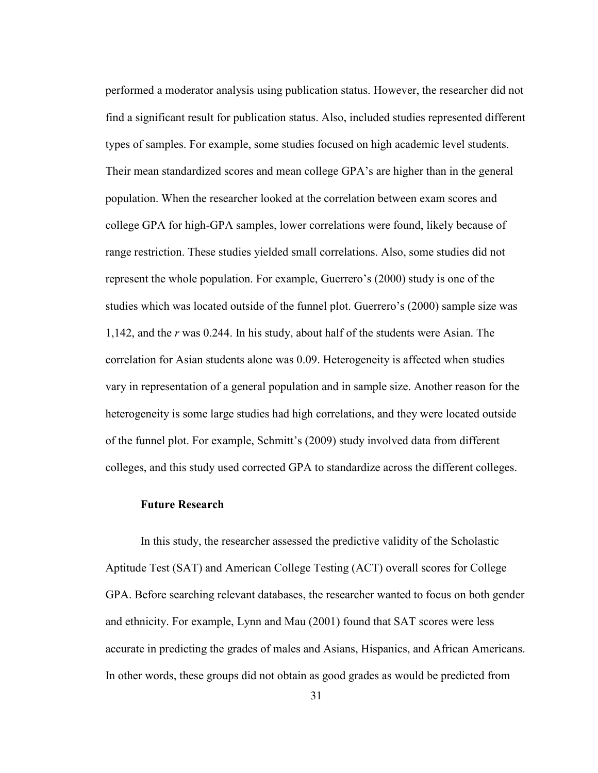performed a moderator analysis using publication status. However, the researcher did not find a significant result for publication status. Also, included studies represented different types of samples. For example, some studies focused on high academic level students. Their mean standardized scores and mean college GPA's are higher than in the general population. When the researcher looked at the correlation between exam scores and college GPA for high-GPA samples, lower correlations were found, likely because of range restriction. These studies yielded small correlations. Also, some studies did not represent the whole population. For example, Guerrero's (2000) study is one of the studies which was located outside of the funnel plot. Guerrero's (2000) sample size was 1,142, and the *r* was 0.244. In his study, about half of the students were Asian. The correlation for Asian students alone was 0.09. Heterogeneity is affected when studies vary in representation of a general population and in sample size. Another reason for the heterogeneity is some large studies had high correlations, and they were located outside of the funnel plot. For example, Schmitt's (2009) study involved data from different colleges, and this study used corrected GPA to standardize across the different colleges.

#### **Future Research**

In this study, the researcher assessed the predictive validity of the Scholastic Aptitude Test (SAT) and American College Testing (ACT) overall scores for College GPA. Before searching relevant databases, the researcher wanted to focus on both gender and ethnicity. For example, Lynn and Mau (2001) found that SAT scores were less accurate in predicting the grades of males and Asians, Hispanics, and African Americans. In other words, these groups did not obtain as good grades as would be predicted from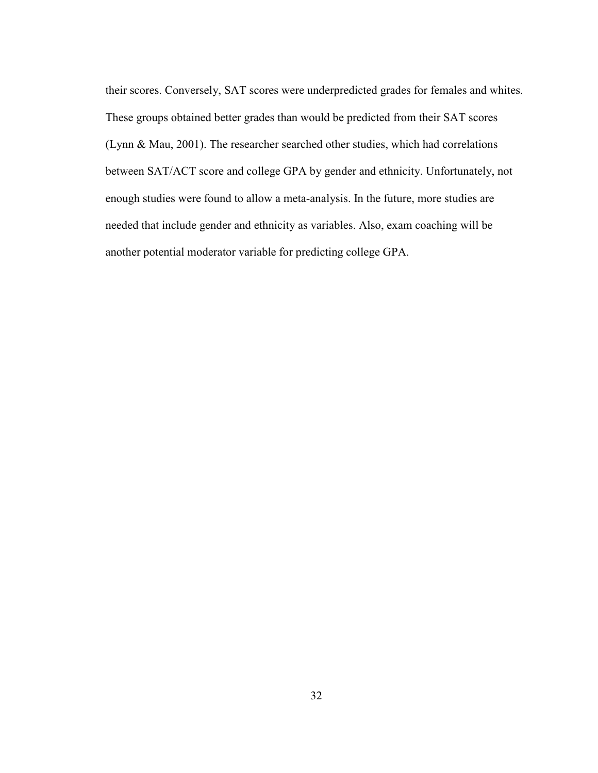their scores. Conversely, SAT scores were underpredicted grades for females and whites. These groups obtained better grades than would be predicted from their SAT scores (Lynn & Mau, 2001). The researcher searched other studies, which had correlations between SAT/ACT score and college GPA by gender and ethnicity. Unfortunately, not enough studies were found to allow a meta-analysis. In the future, more studies are needed that include gender and ethnicity as variables. Also, exam coaching will be another potential moderator variable for predicting college GPA.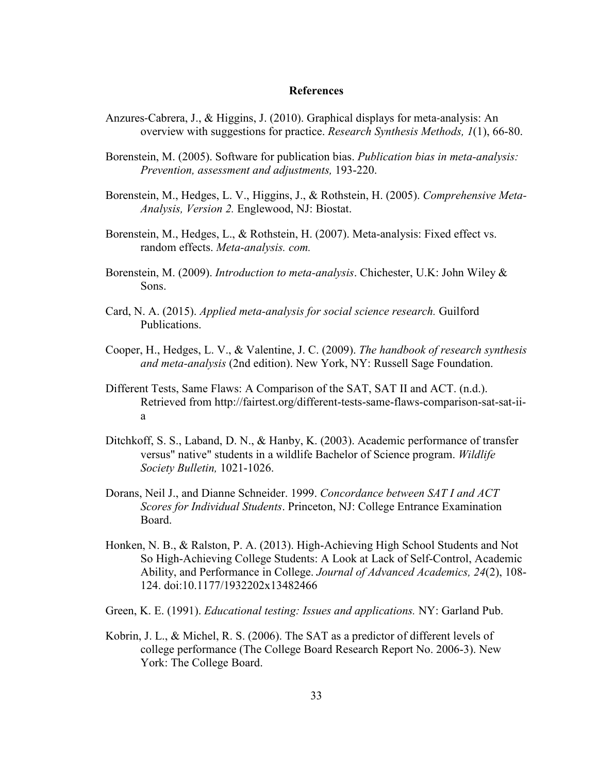#### **References**

- Anzures-Cabrera, J., & Higgins, J. (2010). Graphical displays for meta-analysis: An overview with suggestions for practice. *Research Synthesis Methods, 1*(1), 66-80.
- Borenstein, M. (2005). Software for publication bias. *Publication bias in meta-analysis: Prevention, assessment and adjustments,* 193-220.
- Borenstein, M., Hedges, L. V., Higgins, J., & Rothstein, H. (2005). *Comprehensive Meta-Analysis, Version 2.* Englewood, NJ: Biostat.
- Borenstein, M., Hedges, L., & Rothstein, H. (2007). Meta-analysis: Fixed effect vs. random effects. *Meta-analysis. com.*
- Borenstein, M. (2009). *Introduction to meta-analysis*. Chichester, U.K: John Wiley & Sons.
- Card, N. A. (2015). *Applied meta-analysis for social science research.* Guilford Publications.
- Cooper, H., Hedges, L. V., & Valentine, J. C. (2009). *The handbook of research synthesis and meta-analysis* (2nd edition). New York, NY: Russell Sage Foundation.
- Different Tests, Same Flaws: A Comparison of the SAT, SAT II and ACT. (n.d.). Retrieved from http://fairtest.org/different-tests-same-flaws-comparison-sat-sat-iia
- Ditchkoff, S. S., Laband, D. N., & Hanby, K. (2003). Academic performance of transfer versus" native" students in a wildlife Bachelor of Science program. *Wildlife Society Bulletin,* 1021-1026.
- Dorans, Neil J., and Dianne Schneider. 1999. *Concordance between SAT I and ACT Scores for Individual Students*. Princeton, NJ: College Entrance Examination Board.
- Honken, N. B., & Ralston, P. A. (2013). High-Achieving High School Students and Not So High-Achieving College Students: A Look at Lack of Self-Control, Academic Ability, and Performance in College. *Journal of Advanced Academics, 24*(2), 108- 124. doi:10.1177/1932202x13482466
- Green, K. E. (1991). *Educational testing: Issues and applications.* NY: Garland Pub.
- Kobrin, J. L., & Michel, R. S. (2006). The SAT as a predictor of different levels of college performance (The College Board Research Report No. 2006-3). New York: The College Board.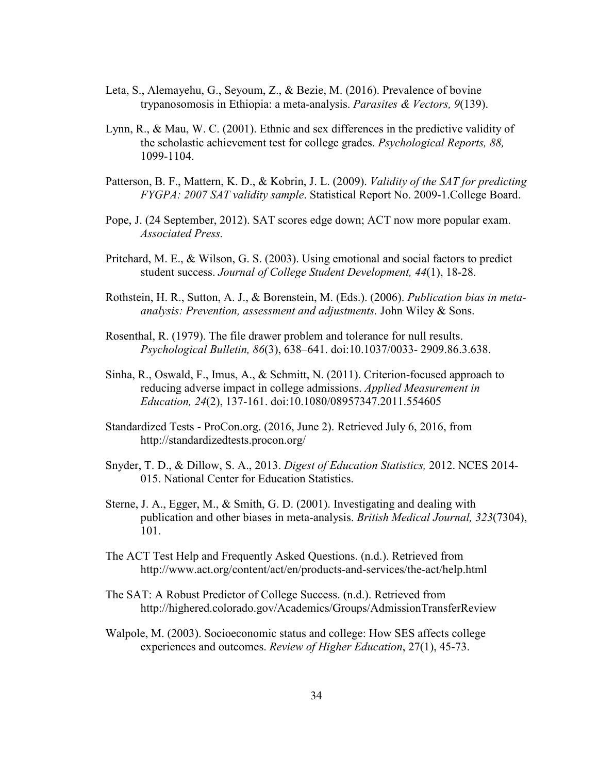- Leta, S., Alemayehu, G., Seyoum, Z., & Bezie, M. (2016). Prevalence of bovine trypanosomosis in Ethiopia: a meta-analysis. *Parasites & Vectors, 9*(139).
- Lynn, R., & Mau, W. C. (2001). Ethnic and sex differences in the predictive validity of the scholastic achievement test for college grades. *Psychological Reports, 88,* 1099-1104.
- Patterson, B. F., Mattern, K. D., & Kobrin, J. L. (2009). *Validity of the SAT for predicting FYGPA: 2007 SAT validity sample*. Statistical Report No. 2009-1.College Board.
- Pope, J. (24 September, 2012). SAT scores edge down; ACT now more popular exam. *Associated Press.*
- Pritchard, M. E., & Wilson, G. S. (2003). Using emotional and social factors to predict student success. *Journal of College Student Development, 44*(1), 18-28.
- Rothstein, H. R., Sutton, A. J., & Borenstein, M. (Eds.). (2006). *Publication bias in metaanalysis: Prevention, assessment and adjustments.* John Wiley & Sons.
- Rosenthal, R. (1979). The file drawer problem and tolerance for null results. *Psychological Bulletin, 86*(3), 638–641. doi:10.1037/0033- 2909.86.3.638.
- Sinha, R., Oswald, F., Imus, A., & Schmitt, N. (2011). Criterion-focused approach to reducing adverse impact in college admissions. *Applied Measurement in Education, 24*(2), 137-161. doi:10.1080/08957347.2011.554605
- Standardized Tests ProCon.org. (2016, June 2). Retrieved July 6, 2016, from http://standardizedtests.procon.org/
- Snyder, T. D., & Dillow, S. A., 2013. *Digest of Education Statistics,* 2012. NCES 2014- 015. National Center for Education Statistics.
- Sterne, J. A., Egger, M., & Smith, G. D. (2001). Investigating and dealing with publication and other biases in meta-analysis. *British Medical Journal, 323*(7304), 101.
- The ACT Test Help and Frequently Asked Questions. (n.d.). Retrieved from http://www.act.org/content/act/en/products-and-services/the-act/help.html
- The SAT: A Robust Predictor of College Success. (n.d.). Retrieved from http://highered.colorado.gov/Academics/Groups/AdmissionTransferReview
- Walpole, M. (2003). Socioeconomic status and college: How SES affects college experiences and outcomes. *Review of Higher Education*, 27(1), 45-73.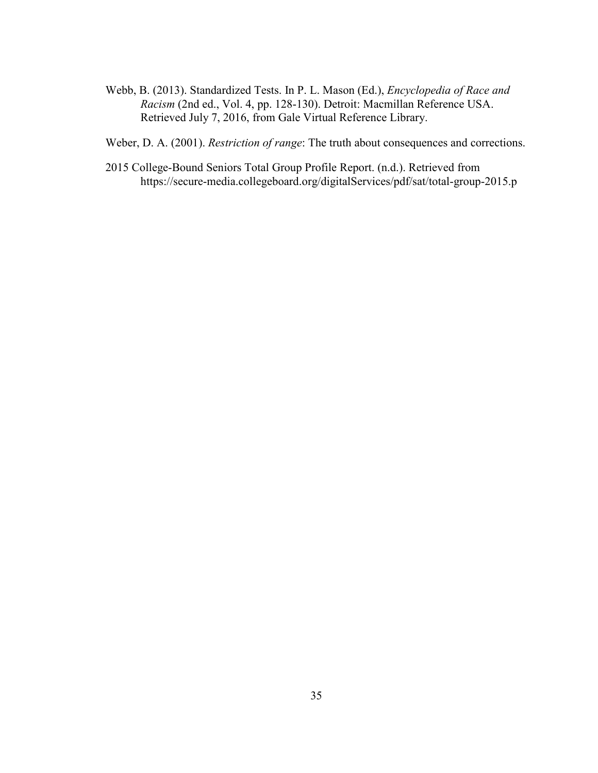Webb, B. (2013). Standardized Tests. In P. L. Mason (Ed.), *Encyclopedia of Race and Racism* (2nd ed., Vol. 4, pp. 128-130). Detroit: Macmillan Reference USA. Retrieved July 7, 2016, from Gale Virtual Reference Library.

Weber, D. A. (2001). *Restriction of range*: The truth about consequences and corrections.

2015 College-Bound Seniors Total Group Profile Report. (n.d.). Retrieved from https://secure-media.collegeboard.org/digitalServices/pdf/sat/total-group-2015.p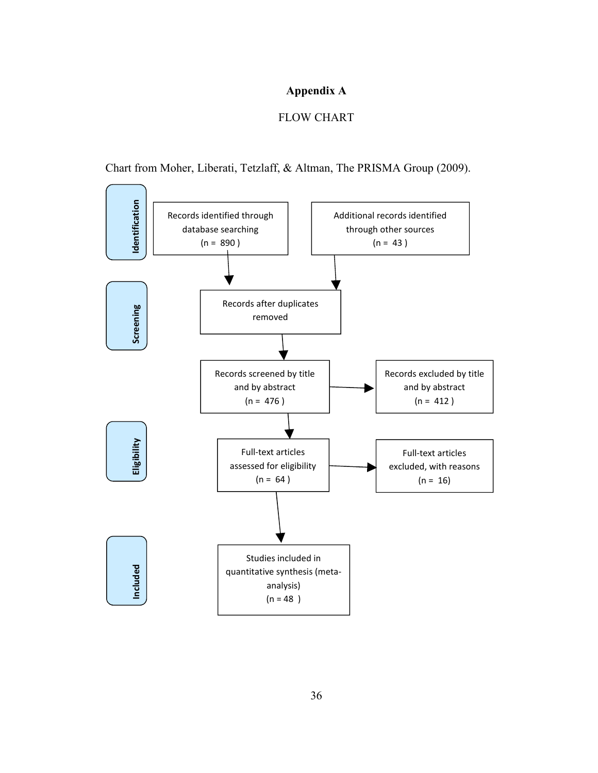### **Appendix A**

### FLOW CHART

Chart from Moher, Liberati, Tetzlaff, & Altman, The PRISMA Group (2009).

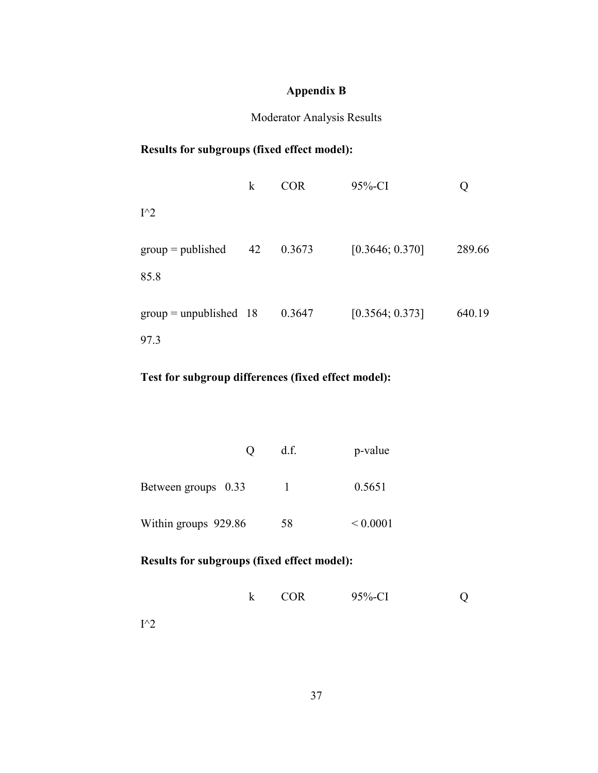# **Appendix B**

### Moderator Analysis Results

## **Results for subgroups (fixed effect model):**

|                             | $\bf k$ | <b>COR</b> | $95%$ -CI       |        |
|-----------------------------|---------|------------|-----------------|--------|
| $I^{\wedge}2$               |         |            |                 |        |
| $group = published$<br>85.8 | 42      | 0.3673     | [0.3646; 0.370] | 289.66 |
| $group = unpublished$ 18    |         | 0.3647     | [0.3564; 0.373] | 640.19 |
| 97.3                        |         |            |                 |        |

# **Test for subgroup differences (fixed effect model):**

|                      | d.f. | p-value       |
|----------------------|------|---------------|
| Between groups 0.33  |      | 0.5651        |
| Within groups 929.86 | 58   | ${}_{0.0001}$ |

# **Results for subgroups (fixed effect model):**

|  | <b>COR</b> | 95%-CI |  |
|--|------------|--------|--|
|--|------------|--------|--|

 $I^{\wedge}2$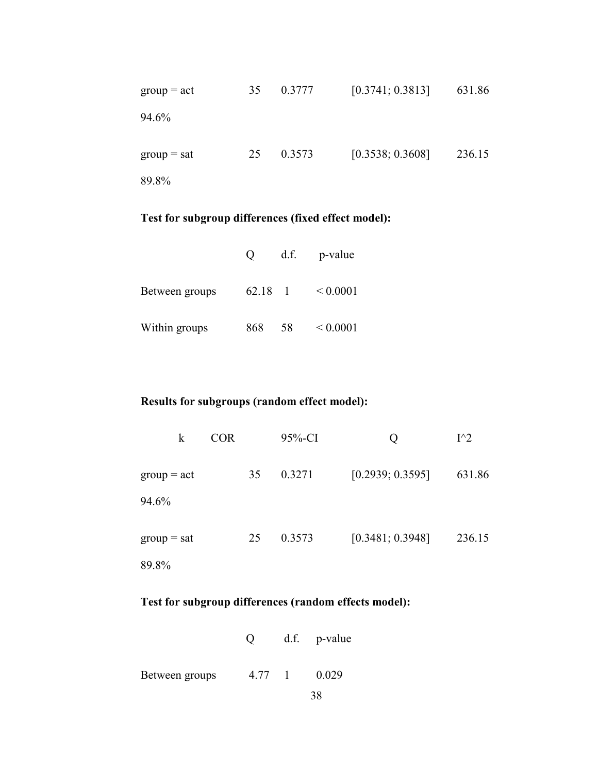| $\text{group} = \text{act}$ | 35 | 0.3777 | [0.3741; 0.3813] | 631.86 |
|-----------------------------|----|--------|------------------|--------|
| 94.6%                       |    |        |                  |        |
| $\text{group} = \text{sat}$ | 25 | 0.3573 | [0.3538; 0.3608] | 236.15 |
| 89.8%                       |    |        |                  |        |

# **Test for subgroup differences (fixed effect model):**

|                | $\mathbf{O}$ | d.f. | p-value       |
|----------------|--------------|------|---------------|
| Between groups | 62.18 1      |      | ${}< 0.0001$  |
| Within groups  | 868          | 58   | ${}_{0.0001}$ |

## **Results for subgroups (random effect model):**

| k                           | <b>COR</b> |    | $95%$ -CI | Ő                | $I^{\wedge}2$ |
|-----------------------------|------------|----|-----------|------------------|---------------|
| $group = act$               |            | 35 | 0.3271    | [0.2939; 0.3595] | 631.86        |
| 94.6%                       |            |    |           |                  |               |
| $\text{group} = \text{sat}$ |            | 25 | 0.3573    | [0.3481; 0.3948] | 236.15        |
| 89.8%                       |            |    |           |                  |               |

# **Test for subgroup differences (random effects model):**

|  | d.f. p-value |
|--|--------------|
|  |              |

Between groups  $4.77$  1 0.029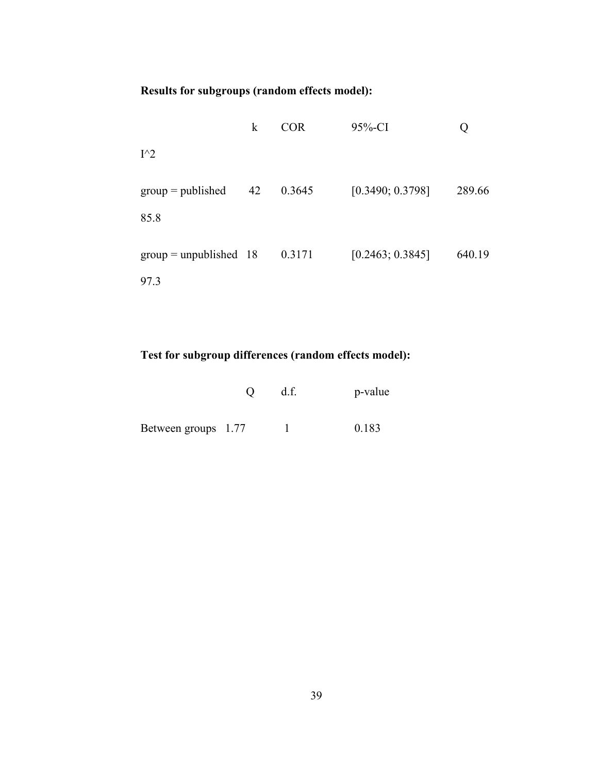# **Results for subgroups (random effects model):**

|                             | k  | COR    | 95%-CI           |        |
|-----------------------------|----|--------|------------------|--------|
| $I^{\wedge}2$               |    |        |                  |        |
| $group = published$<br>85.8 | 42 | 0.3645 | [0.3490; 0.3798] | 289.66 |
| $group = unpublished$ 18    |    | 0.3171 | [0.2463; 0.3845] | 640.19 |
| 97.3                        |    |        |                  |        |

# **Test for subgroup differences (random effects model):**

|                     | d.f. | p-value |
|---------------------|------|---------|
| Between groups 1.77 |      | 0.183   |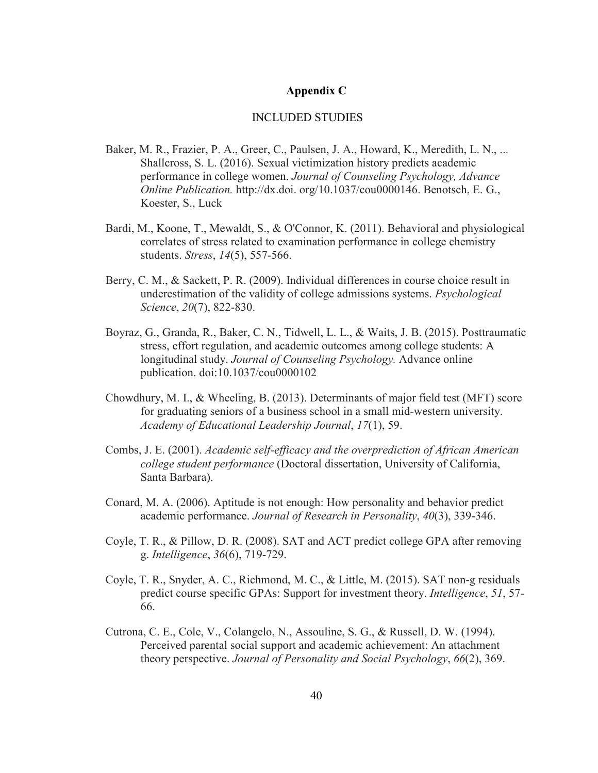#### **Appendix C**

#### INCLUDED STUDIES

- Baker, M. R., Frazier, P. A., Greer, C., Paulsen, J. A., Howard, K., Meredith, L. N., ... Shallcross, S. L. (2016). Sexual victimization history predicts academic performance in college women. *Journal of Counseling Psychology, Advance Online Publication.* http://dx.doi. org/10.1037/cou0000146. Benotsch, E. G., Koester, S., Luck
- Bardi, M., Koone, T., Mewaldt, S., & O'Connor, K. (2011). Behavioral and physiological correlates of stress related to examination performance in college chemistry students. *Stress*, *14*(5), 557-566.
- Berry, C. M., & Sackett, P. R. (2009). Individual differences in course choice result in underestimation of the validity of college admissions systems. *Psychological Science*, *20*(7), 822-830.
- Boyraz, G., Granda, R., Baker, C. N., Tidwell, L. L., & Waits, J. B. (2015). Posttraumatic stress, effort regulation, and academic outcomes among college students: A longitudinal study. *Journal of Counseling Psychology.* Advance online publication. doi:10.1037/cou0000102
- Chowdhury, M. I., & Wheeling, B. (2013). Determinants of major field test (MFT) score for graduating seniors of a business school in a small mid-western university. *Academy of Educational Leadership Journal*, *17*(1), 59.
- Combs, J. E. (2001). *Academic self-efficacy and the overprediction of African American college student performance* (Doctoral dissertation, University of California, Santa Barbara).
- Conard, M. A. (2006). Aptitude is not enough: How personality and behavior predict academic performance. *Journal of Research in Personality*, *40*(3), 339-346.
- Coyle, T. R., & Pillow, D. R. (2008). SAT and ACT predict college GPA after removing g. *Intelligence*, *36*(6), 719-729.
- Coyle, T. R., Snyder, A. C., Richmond, M. C., & Little, M. (2015). SAT non-g residuals predict course specific GPAs: Support for investment theory. *Intelligence*, *51*, 57- 66.
- Cutrona, C. E., Cole, V., Colangelo, N., Assouline, S. G., & Russell, D. W. (1994). Perceived parental social support and academic achievement: An attachment theory perspective. *Journal of Personality and Social Psychology*, *66*(2), 369.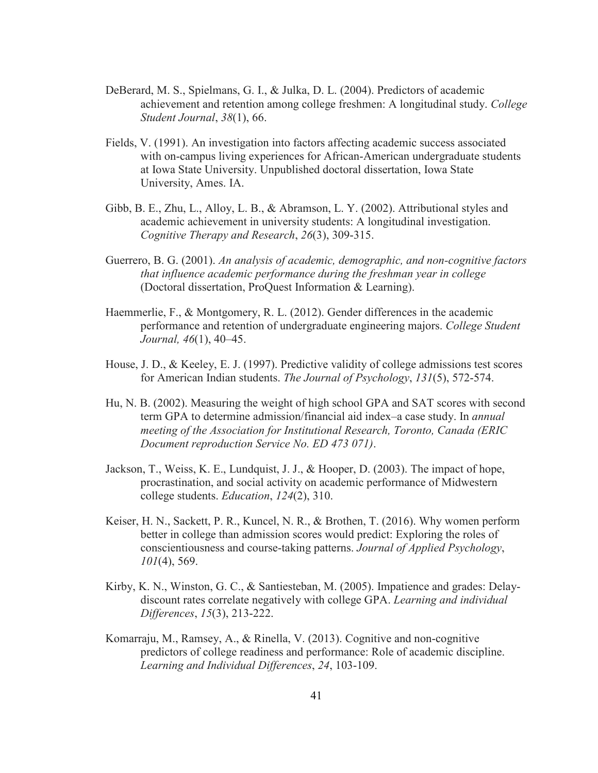- DeBerard, M. S., Spielmans, G. I., & Julka, D. L. (2004). Predictors of academic achievement and retention among college freshmen: A longitudinal study. *College Student Journal*, *38*(1), 66.
- Fields, V. (1991). An investigation into factors affecting academic success associated with on-campus living experiences for African-American undergraduate students at Iowa State University. Unpublished doctoral dissertation, Iowa State University, Ames. IA.
- Gibb, B. E., Zhu, L., Alloy, L. B., & Abramson, L. Y. (2002). Attributional styles and academic achievement in university students: A longitudinal investigation. *Cognitive Therapy and Research*, *26*(3), 309-315.
- Guerrero, B. G. (2001). *An analysis of academic, demographic, and non-cognitive factors that influence academic performance during the freshman year in college* (Doctoral dissertation, ProQuest Information & Learning).
- Haemmerlie, F., & Montgomery, R. L. (2012). Gender differences in the academic performance and retention of undergraduate engineering majors. *College Student Journal, 46*(1), 40–45.
- House, J. D., & Keeley, E. J. (1997). Predictive validity of college admissions test scores for American Indian students. *The Journal of Psychology*, *131*(5), 572-574.
- Hu, N. B. (2002). Measuring the weight of high school GPA and SAT scores with second term GPA to determine admission/financial aid index–a case study. In *annual meeting of the Association for Institutional Research, Toronto, Canada (ERIC Document reproduction Service No. ED 473 071)*.
- Jackson, T., Weiss, K. E., Lundquist, J. J., & Hooper, D. (2003). The impact of hope, procrastination, and social activity on academic performance of Midwestern college students. *Education*, *124*(2), 310.
- Keiser, H. N., Sackett, P. R., Kuncel, N. R., & Brothen, T. (2016). Why women perform better in college than admission scores would predict: Exploring the roles of conscientiousness and course-taking patterns. *Journal of Applied Psychology*, *101*(4), 569.
- Kirby, K. N., Winston, G. C., & Santiesteban, M. (2005). Impatience and grades: Delaydiscount rates correlate negatively with college GPA. *Learning and individual Differences*, *15*(3), 213-222.
- Komarraju, M., Ramsey, A., & Rinella, V. (2013). Cognitive and non-cognitive predictors of college readiness and performance: Role of academic discipline. *Learning and Individual Differences*, *24*, 103-109.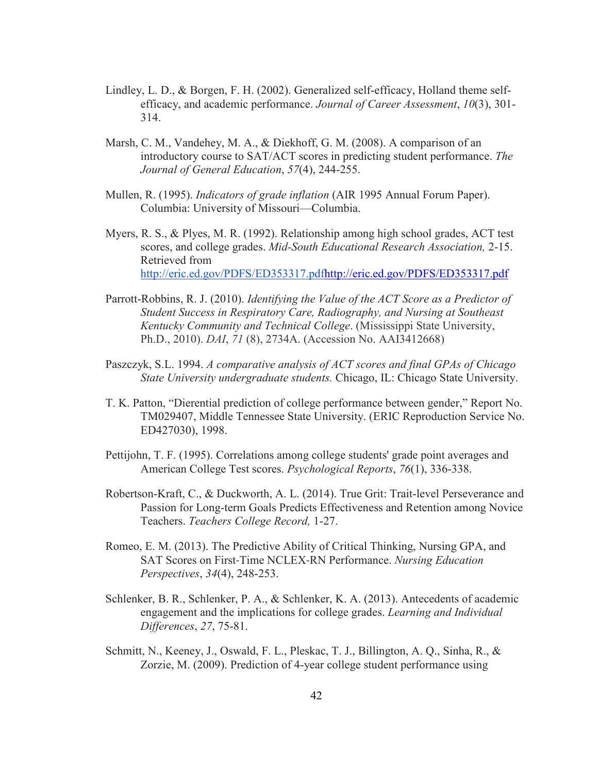- Lindley, L. D., & Borgen, F. H. (2002). Generalized self-efficacy, Holland theme selfefficacy, and academic performance. *Journal of Career Assessment*, *10*(3), 301- 314.
- Marsh, C. M., Vandehey, M. A., & Diekhoff, G. M. (2008). A comparison of an introductory course to SAT/ACT scores in predicting student performance. *The Journal of General Education*, *57*(4), 244-255.
- Mullen, R. (1995). *Indicators of grade inflation* (AIR 1995 Annual Forum Paper). Columbia: University of Missouri—Columbia.
- Myers, R. S., & Plyes, M. R. (1992). Relationship among high school grades, ACT test scores, and college grades. *Mid-South Educational Research Association,* 2-15. Retrieved from http://eric.ed.gov/PDFS/ED353317.pdfhttp://eric.ed.gov/PDFS/ED353317.pdf
- Parrott-Robbins, R. J. (2010). *Identifying the Value of the ACT Score as a Predictor of Student Success in Respiratory Care, Radiography, and Nursing at Southeast Kentucky Community and Technical College*. (Mississippi State University, Ph.D., 2010). *DAI*, *71* (8), 2734A. (Accession No. AAI3412668)
- Paszczyk, S.L. 1994. *A comparative analysis of ACT scores and final GPAs of Chicago State University undergraduate students.* Chicago, IL: Chicago State University.
- T. K. Patton, "Dierential prediction of college performance between gender," Report No. TM029407, Middle Tennessee State University. (ERIC Reproduction Service No. ED427030), 1998.
- Pettijohn, T. F. (1995). Correlations among college students' grade point averages and American College Test scores. *Psychological Reports*, *76*(1), 336-338.
- Robertson-Kraft, C., & Duckworth, A. L. (2014). True Grit: Trait-level Perseverance and Passion for Long-term Goals Predicts Effectiveness and Retention among Novice Teachers. *Teachers College Record,* 1-27.
- Romeo, E. M. (2013). The Predictive Ability of Critical Thinking, Nursing GPA, and SAT Scores on First-Time NCLEX-RN Performance. *Nursing Education Perspectives*, *34*(4), 248-253.
- Schlenker, B. R., Schlenker, P. A., & Schlenker, K. A. (2013). Antecedents of academic engagement and the implications for college grades. *Learning and Individual Differences*, *27*, 75-81.
- Schmitt, N., Keeney, J., Oswald, F. L., Pleskac, T. J., Billington, A. Q., Sinha, R., & Zorzie, M. (2009). Prediction of 4-year college student performance using